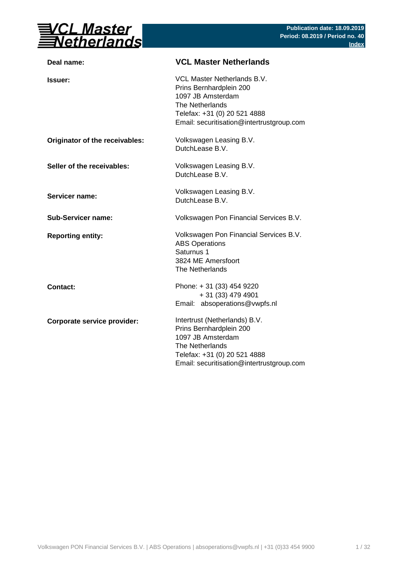

| <b>VCL Master Netherlands</b>                                                                                                                                                 |
|-------------------------------------------------------------------------------------------------------------------------------------------------------------------------------|
| VCL Master Netherlands B.V.<br>Prins Bernhardplein 200<br>1097 JB Amsterdam<br>The Netherlands<br>Telefax: +31 (0) 20 521 4888<br>Email: securitisation@intertrustgroup.com   |
| Volkswagen Leasing B.V.<br>DutchLease B.V.                                                                                                                                    |
| Volkswagen Leasing B.V.<br>DutchLease B.V.                                                                                                                                    |
| Volkswagen Leasing B.V.<br>DutchLease B.V.                                                                                                                                    |
| Volkswagen Pon Financial Services B.V.                                                                                                                                        |
| Volkswagen Pon Financial Services B.V.<br><b>ABS Operations</b><br>Saturnus 1<br>3824 ME Amersfoort<br>The Netherlands                                                        |
| Phone: +31 (33) 454 9220<br>+ 31 (33) 479 4901<br>Email: absoperations@vwpfs.nl                                                                                               |
| Intertrust (Netherlands) B.V.<br>Prins Bernhardplein 200<br>1097 JB Amsterdam<br>The Netherlands<br>Telefax: +31 (0) 20 521 4888<br>Email: securitisation@intertrustgroup.com |
|                                                                                                                                                                               |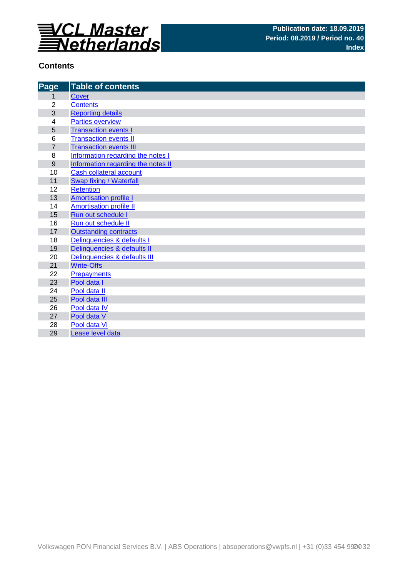

## **Contents**

| Page           | <b>Table of contents</b>           |
|----------------|------------------------------------|
| 1              | <b>Cover</b>                       |
| $\overline{2}$ | <b>Contents</b>                    |
| 3              | <b>Reporting details</b>           |
| 4              | <b>Parties overview</b>            |
| 5              | <b>Transaction events I</b>        |
| 6              | <b>Transaction events II</b>       |
| $\overline{7}$ | <b>Transaction events III</b>      |
| 8              | Information regarding the notes I  |
| 9              | Information regarding the notes II |
| 10             | Cash collateral account            |
| 11             | Swap fixing / Waterfall            |
| 12             | <b>Retention</b>                   |
| 13             | <b>Amortisation profile I</b>      |
| 14             | <b>Amortisation profile II</b>     |
| 15             | Run out schedule I                 |
| 16             | Run out schedule II                |
| 17             | <b>Outstanding contracts</b>       |
| 18             | Delinquencies & defaults I         |
| 19             | Delinquencies & defaults II        |
| 20             | Delinquencies & defaults III       |
| 21             | <b>Write-Offs</b>                  |
| 22             | <b>Prepayments</b>                 |
| 23             | Pool data I                        |
| 24             | Pool data II                       |
| 25             | Pool data III                      |
| 26             | Pool data IV                       |
| 27<br>28       | Pool data V<br>Pool data VI        |
|                |                                    |
| 29             | Lease level data                   |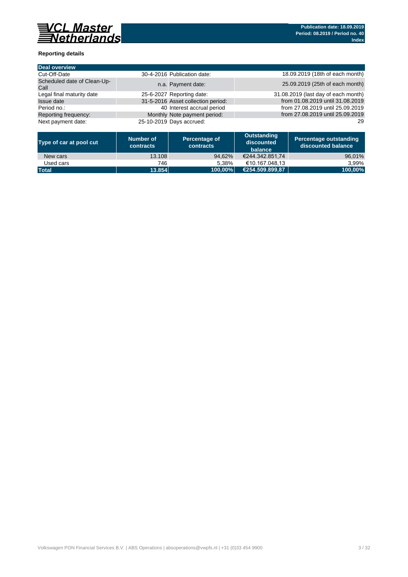

## **Reporting details**

| Deal overview                       |                                    |                                     |
|-------------------------------------|------------------------------------|-------------------------------------|
| Cut-Off-Date                        | 30-4-2016 Publication date:        | 18.09.2019 (18th of each month)     |
| Scheduled date of Clean-Up-<br>Call | n.a. Payment date:                 | 25.09.2019 (25th of each month)     |
| Legal final maturity date           | 25-6-2027 Reporting date:          | 31.08.2019 (last day of each month) |
| Issue date                          | 31-5-2016 Asset collection period: | from 01.08.2019 until 31.08.2019    |
| Period no.:                         | 40 Interest accrual period         | from 27.08.2019 until 25.09.2019    |
| Reporting frequency:                | Monthly Note payment period:       | from 27.08.2019 until 25.09.2019    |
| Next payment date:                  | 25-10-2019 Days accrued:           | 29                                  |

| Type of car at pool cut | Number of<br>contracts | Percentage of<br>contracts | Outstanding<br>discounted<br>balance | Percentage outstanding<br>discounted balance |
|-------------------------|------------------------|----------------------------|--------------------------------------|----------------------------------------------|
| New cars                | 13.108                 | 94.62%                     | €244.342.851.74                      | 96,01%                                       |
| Used cars               | 746                    | 5.38%                      | €10.167.048.13                       | 3.99%                                        |
| <b>Total</b>            | 13.854                 | 100.00%                    | €254.509.899.87                      | 100,00%                                      |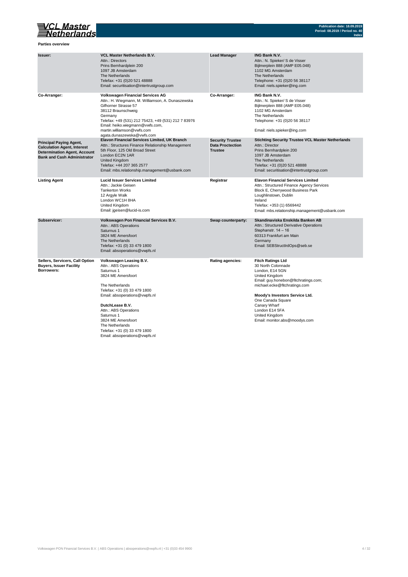

**Parties overview**

| Issuer:                                                                                                                                           | <b>VCL Master Netherlands B.V.</b><br>Attn.: Directors<br>Prins Bernhardplein 200<br>1097 JB Amsterdam<br>The Netherlands<br>Telefax: +31 (0)20 521 48888<br>Email: securitisation@intertrustgroup.com                                                                                                                                       | <b>Lead Manager</b>                                                  | <b>ING Bank N.V.</b><br>Attn.: N. Spieker/ S de Visser<br>Bijlmerplein 888 (AMP E05.048)<br>1102 MG Amsterdam<br>The Netherlands<br>Telephone: +31 (0)20 56 38117<br>Email: niels.spieker@ing.com                                                                                                        |
|---------------------------------------------------------------------------------------------------------------------------------------------------|----------------------------------------------------------------------------------------------------------------------------------------------------------------------------------------------------------------------------------------------------------------------------------------------------------------------------------------------|----------------------------------------------------------------------|----------------------------------------------------------------------------------------------------------------------------------------------------------------------------------------------------------------------------------------------------------------------------------------------------------|
| Co-Arranger:                                                                                                                                      | <b>Volkswagen Financial Services AG</b><br>Attn.: H. Wiegmann, M. Williamson, A. Dunaszewska<br>Gifhorner Strasse 57<br>38112 Braunschweig<br>Germany<br>Telefax: +49 (531) 212 75423, +49 (531) 212 7 83976<br>Email: heiko.wiegmann@vwfs.com,<br>martin.williamson@vwfs.com<br>agata.dunaszewska@vwfs.com                                  | Co-Arranger:                                                         | <b>ING Bank N.V.</b><br>Attn.: N. Spieker/ S de Visser<br>Bijlmerplein 888 (AMP E05.048)<br>1102 MG Amsterdam<br>The Netherlands<br>Telephone: +31 (0)20 56 38117<br>Email: niels.spieker@ing.com                                                                                                        |
| <b>Principal Paying Agent,</b><br><b>Calculation Agent, Interest</b><br><b>Determination Agent, Account</b><br><b>Bank and Cash Administrator</b> | Elavon Financial Services Limited, UK Branch<br>Attn.: Structures Finance Relationship Management<br>5th Floor, 125 Old Broad Street<br>London EC2N 1AR<br>United Kingdom<br>Telefax: +44 207 365 2577<br>Email: mbs.relationship.management@usbank.com                                                                                      | <b>Security Trustee</b><br><b>Data Proctection</b><br><b>Trustee</b> | <b>Stichting Security Trustee VCL Master Netherlands</b><br>Attn.: Director<br>Prins Bernhardplein 200<br>1097 JB Amsterdam<br>The Netherlands<br>Telefax: +31 (0)20 521 48888<br>Email: securitisation@intertrustgroup.com                                                                              |
| <b>Listing Agent</b>                                                                                                                              | <b>Lucid Issuer Services Limited</b><br>Attn.: Jackie Geisen<br><b>Tankerton Works</b><br>12 Argyle Walk<br>London WC1H 8HA<br>United Kingdom<br>Email: jgeisen@lucid-is.com                                                                                                                                                                 | Registrar                                                            | <b>Elavon Financial Services Limited</b><br>Attn.: Structured Finance Agency Services<br>Block E, Cherrywood Business Park<br>Loughlinstown, Dublin<br>Ireland<br>Telefax: +353 (1) 6569442<br>Email: mbs.relationship.management@usbank.com                                                             |
| Subservicer:                                                                                                                                      | Volkswagen Pon Financial Services B.V.<br>Attn.: ABS Operations<br>Saturnus 1<br>3824 ME Amersfoort<br>The Netherlands<br>Telefax: +31 (0) 33 479 1800<br>Email: absoperations@vwpfs.nl                                                                                                                                                      | Swap counterparty:                                                   | Skandinaviska Enskilda Banken AB<br>Attn.: Structured Derivative Operations<br>Stephanstr. 14 - 16<br>60313 Frankfurt am Main<br>Germany<br>Email: SEBStructIrdOps@seb.se                                                                                                                                |
| Sellers, Servicers, Call Option<br><b>Buyers, Issuer Facility</b><br>Borrowers:                                                                   | Volkswagen Leasing B.V.<br>Attn.: ABS Operations<br>Saturnus 1<br>3824 ME Amersfoort<br>The Netherlands<br>Telefax: +31 (0) 33 479 1800<br>Email: absoperations@vwpfs.nl<br>DutchLease B.V.<br>Attn.: ABS Operations<br>Saturnus 1<br>3824 ME Amersfoort<br>The Netherlands<br>Telefax: +31 (0) 33 479 1800<br>Email: absoperations@vwpfs.nl | <b>Rating agencies:</b>                                              | <b>Fitch Ratings Ltd</b><br>30 North Colonnade<br>London, E14 5GN<br>United Kingdom<br>Email: guy.honebon@fitchratings.com;<br>michael.ecke@fitchratings.com<br>Moody's Investors Service Ltd.<br>One Canada Square<br>Canary Wharf<br>London E14 5FA<br>United Kingdom<br>Email: monitor.abs@moodys.com |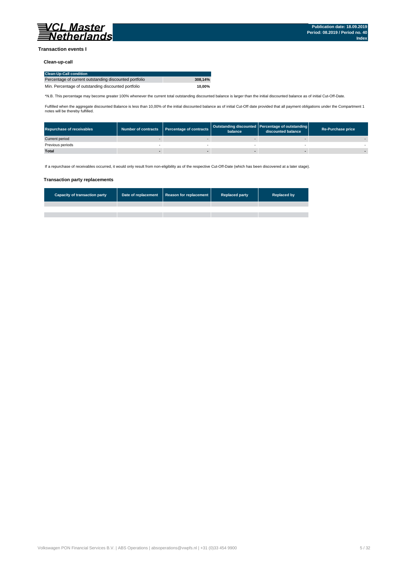

### **Transaction events I**

### **Clean-up-call**

| <b>Clean-Up-Call condition</b>                         |         |
|--------------------------------------------------------|---------|
| Percentage of current outstanding discounted portfolio | 308.14% |
| Min. Percentage of outstanding discounted portfolio    | 10.00%  |

\*N.B. This percentage may become greater 100% whenever the current total outstanding discounted balance is larger than the initial discounted balance as of initial Cut-Off-Date.

Fulfilled when the aggregate discounted Balance is less than 10,00% of the initial discounted balance as of initial Cut-Off date provided that all payment obligations under the Compartment 1 notes will be thereby fulfilled.

| <b>Repurchase of receivables</b> | Number of contracts   Percentage of contracts | balance | Outstanding discounted Percentage of outstanding<br>discounted balance | <b>Re-Purchase price</b> |
|----------------------------------|-----------------------------------------------|---------|------------------------------------------------------------------------|--------------------------|
| Current period                   |                                               |         |                                                                        |                          |
| Previous periods                 |                                               |         |                                                                        |                          |
| <b>Total</b>                     |                                               |         |                                                                        |                          |

If a repurchase of receivables occurred, it would only result from non-eligibility as of the respective Cut-Off-Date (which has been discovered at a later stage).

#### **Transaction party replacements**

| <b>Capacity of transaction party</b> | Date of replacement Reason for replacement | <b>Replaced party</b> | <b>Replaced by</b> |
|--------------------------------------|--------------------------------------------|-----------------------|--------------------|
|                                      |                                            |                       |                    |
|                                      |                                            |                       |                    |
|                                      |                                            |                       |                    |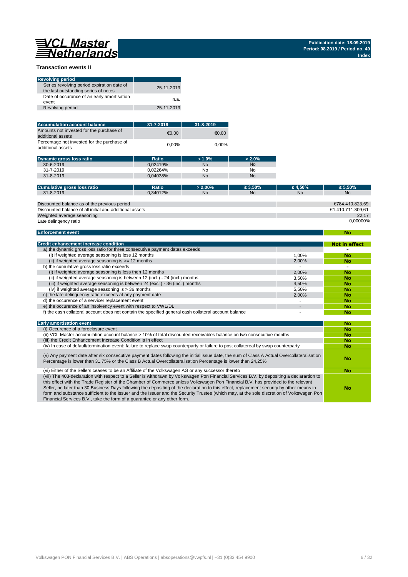**No**

### **Transaction events II**

| <b>Revolving period</b>                                                            |            |
|------------------------------------------------------------------------------------|------------|
| Series revolving period expiration date of<br>the last outstanding series of notes | 25-11-2019 |
| Date of occurance of an early amortisation<br>event                                | n.a.       |
| Revolving period                                                                   | 25-11-2019 |

| <b>Accumulation account balance</b>                              | $31 - 7 - 2019$ | $31 - 8 - 2019$ |
|------------------------------------------------------------------|-----------------|-----------------|
| Amounts not invested for the purchase of<br>additional assets    | €0.00           | €0.00           |
| Percentage not invested for the purchase of<br>additional assets | 0.00%           | 0.00%           |

| <b>Dynamic gross loss ratio</b> | Ratio    | $>1.0\%$ | $> 2.0\%$ |
|---------------------------------|----------|----------|-----------|
| $30 - 6 - 2019$                 | 0.02419% | No       | <b>No</b> |
| 31-7-2019                       | 0.02264% | No       | No        |
| $31 - 8 - 2019$                 | 0.04038% | No       | <b>No</b> |

| Cumulative gross loss ratio                             | Ratio    | $> 2.00\%$ | $\geq 3.50\%$ | $\geq 4.50\%$ | $\geq 5.50\%$     |
|---------------------------------------------------------|----------|------------|---------------|---------------|-------------------|
| $31 - 8 - 2019$                                         | 0.34012% | <b>No</b>  | <b>No</b>     | <b>No</b>     | <b>No</b>         |
|                                                         |          |            |               |               |                   |
| Discounted balance as of the previous period            |          |            |               |               | €784.410.823.59   |
| Discounted balance of all initial and additional assets |          |            |               |               | €1.410.711.309.61 |
| Weighted average seasoning                              |          |            |               |               | 22.17             |
| Late delingency ratio                                   |          |            |               |               | 0.00000%          |

#### **Enforcement event**

| <b>Credit enhancement increase condition</b>                                                          |       | <b>Not in effect</b> |
|-------------------------------------------------------------------------------------------------------|-------|----------------------|
| a) the dynamic gross loss ratio for three consecutive payment dates exceeds                           |       |                      |
| (i) if weighted average seasoning is less 12 months                                                   | 1.00% | <b>No</b>            |
| (ii) if weighted average seasoning is $>= 12$ months                                                  | 2.00% | <b>No</b>            |
| b) the cumulative gross loss ratio exceeds                                                            |       | -                    |
| (i) if weighted average seasoning is less then 12 months                                              | 2.00% | <b>No</b>            |
| (ii) if weighted average seasoning is between 12 (incl.) - 24 (incl.) months                          | 3.50% | <b>No</b>            |
| (iii) if weighted average seasoning is between 24 (excl.) - 36 (incl.) months                         | 4.50% | <b>No</b>            |
| (iv) if weighted average seasoning is $>$ 36 months                                                   | 5.50% | <b>No</b>            |
| c) the late delinguency ratio exceeds at any payment date                                             | 2.00% | <b>No</b>            |
| d) the occurence of a servicer replacement event                                                      |       | <b>No</b>            |
| e) the occurence of an insolvency event with respect to VWL/DL                                        |       | <b>No</b>            |
| f) the cash collateral account does not contain the specified general cash collateral account balance |       | No                   |

| <b>Early amortisation event</b>                                                                                                                                                                                                                                                                                                                                                                                                                                                                                                                                                                                                                    | No        |
|----------------------------------------------------------------------------------------------------------------------------------------------------------------------------------------------------------------------------------------------------------------------------------------------------------------------------------------------------------------------------------------------------------------------------------------------------------------------------------------------------------------------------------------------------------------------------------------------------------------------------------------------------|-----------|
| (i) Occurence of a foreclosure event                                                                                                                                                                                                                                                                                                                                                                                                                                                                                                                                                                                                               | No        |
| (ii) VCL Master accumulation account balance > 10% of total discounted receivables balance on two consecutive months                                                                                                                                                                                                                                                                                                                                                                                                                                                                                                                               | <b>No</b> |
| (iii) the Credit Enhancement Increase Condition is in effect                                                                                                                                                                                                                                                                                                                                                                                                                                                                                                                                                                                       | No        |
| (iv) In case of default/termination event: failure to replace swap counterparty or failure to post collatereal by swap counterparty                                                                                                                                                                                                                                                                                                                                                                                                                                                                                                                | No        |
| (v) Any payment date after six consecutive payment dates following the initial issue date, the sum of Class A Actual Overcollateralisation<br>Percentage is lower than 31,75% or the Class B Actual Overcollateralisation Percentage is lower than 24,25%                                                                                                                                                                                                                                                                                                                                                                                          | No        |
| (vi) Either of the Sellers ceases to be an Affiliate of the Volkswagen AG or any successor thereto                                                                                                                                                                                                                                                                                                                                                                                                                                                                                                                                                 | No        |
| (vii) The 403-declaration with respect to a Seller is withdrawn by Volkswagen Pon Financial Services B.V. by depositing a declarartion to<br>this effect with the Trade Register of the Chamber of Commerce unless Volkswagen Pon Financial B.V. has provided to the relevant<br>Seller, no later than 30 Business Days following the depositing of the declaration to this effect, replacement security by other means in<br>form and substance sufficient to the Issuer and the Issuer and the Security Trustee (which may, at the sole discretion of Volkswagen Pon<br>Financial Services B.V., take the form of a quarantee or any other form. | <b>No</b> |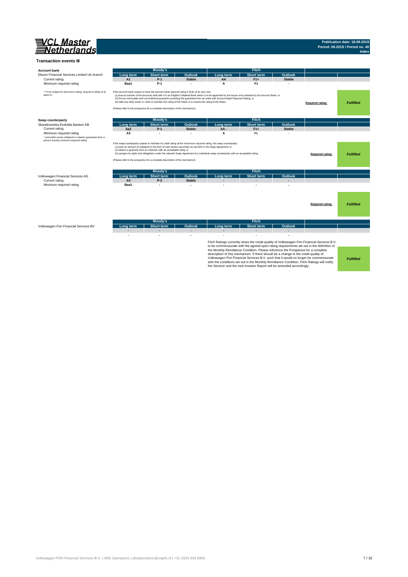

## **Publication date: 18.09.2019 Period: 08.2019 / Period no. 40 Index**

| <b>Account bank</b>                                                        |                | Moody's                                                                                                                                                                                                                                                                                           |                |                                                                                                                                                                                                                                                                                                    | <b>Fitch</b>                                                                                                                                                                                                                                                                                                                                    |                |                                                                                                                                                                                                                                                                               |                  |
|----------------------------------------------------------------------------|----------------|---------------------------------------------------------------------------------------------------------------------------------------------------------------------------------------------------------------------------------------------------------------------------------------------------|----------------|----------------------------------------------------------------------------------------------------------------------------------------------------------------------------------------------------------------------------------------------------------------------------------------------------|-------------------------------------------------------------------------------------------------------------------------------------------------------------------------------------------------------------------------------------------------------------------------------------------------------------------------------------------------|----------------|-------------------------------------------------------------------------------------------------------------------------------------------------------------------------------------------------------------------------------------------------------------------------------|------------------|
| Elavon Financial Services Limited UK branch                                | Lona term      | <b>Short term</b>                                                                                                                                                                                                                                                                                 | <b>Outlook</b> | Long term                                                                                                                                                                                                                                                                                          | <b>Short term</b>                                                                                                                                                                                                                                                                                                                               | Outlook        |                                                                                                                                                                                                                                                                               |                  |
| Current rating                                                             | A1             | $P-1$                                                                                                                                                                                                                                                                                             | <b>Stable</b>  | AA                                                                                                                                                                                                                                                                                                 | $F1+$                                                                                                                                                                                                                                                                                                                                           | <b>Stable</b>  |                                                                                                                                                                                                                                                                               |                  |
| Minimum required rating                                                    | Baa1           | $P-1$                                                                                                                                                                                                                                                                                             |                | A                                                                                                                                                                                                                                                                                                  | F <sub>1</sub>                                                                                                                                                                                                                                                                                                                                  |                |                                                                                                                                                                                                                                                                               |                  |
| ** if not subject to short-term rating, long term rating of at<br>least A+ |                | If the account bank ceases to have the account bank required rating it shall, at its own cost,<br>(iii) take any other action in order to maintain the rating of the Notes or to restore the rating of the Notes.<br>(Please refer to the prospectus for a complete description of the mechanism) |                | (i) procure transfer of the accounts held with it to an Eligible Collateral Bank which is to be appointed by the Issuer once selected by the Account Bank, or<br>(ii) find an irrevocable and unconditional guarantor providing the guarantee from an entity with Account Bank Required Rating, or |                                                                                                                                                                                                                                                                                                                                                 |                | Required rating:                                                                                                                                                                                                                                                              | <b>Fulfilled</b> |
| Swap counterparty                                                          |                | Moody's                                                                                                                                                                                                                                                                                           |                |                                                                                                                                                                                                                                                                                                    | <b>Fitch</b>                                                                                                                                                                                                                                                                                                                                    |                |                                                                                                                                                                                                                                                                               |                  |
| Skandinaviska Enskilda Banken AB                                           | Long term      | <b>Short term</b>                                                                                                                                                                                                                                                                                 | <b>Outlook</b> | Long term                                                                                                                                                                                                                                                                                          | <b>Short term</b>                                                                                                                                                                                                                                                                                                                               | Outlook        |                                                                                                                                                                                                                                                                               |                  |
| Current rating                                                             | Aa2            | $P-1$                                                                                                                                                                                                                                                                                             | <b>Stable</b>  | AA-                                                                                                                                                                                                                                                                                                | $F1+$                                                                                                                                                                                                                                                                                                                                           | <b>Stable</b>  |                                                                                                                                                                                                                                                                               |                  |
| Minimum required rating                                                    | A <sub>3</sub> |                                                                                                                                                                                                                                                                                                   |                | A                                                                                                                                                                                                                                                                                                  | F <sub>1</sub>                                                                                                                                                                                                                                                                                                                                  |                |                                                                                                                                                                                                                                                                               |                  |
| * and either posts collateral or obtains garuantee from a                  |                |                                                                                                                                                                                                                                                                                                   |                |                                                                                                                                                                                                                                                                                                    |                                                                                                                                                                                                                                                                                                                                                 |                |                                                                                                                                                                                                                                                                               |                  |
|                                                                            |                | (i) posts an amount of collateral (in the form of cash and/or securities) as set forth in the Swap Agreement; or<br>(ii) obtains a guaranty from an instituton with an acceptable ratng; or<br>(Please refer to the prospectus for a complete description of the mechanism)                       |                | If the swap counterparty ceases to maintain its credit rating at the miniumum required rating, the swap counterparty:<br>(iii) assigns its rights and obligations under the relevant Swap Agreement to a substitute swap counterparty with an acceptable rating.                                   |                                                                                                                                                                                                                                                                                                                                                 |                | <b>Required rating:</b>                                                                                                                                                                                                                                                       | <b>Fulfilled</b> |
|                                                                            |                | Moody's                                                                                                                                                                                                                                                                                           |                |                                                                                                                                                                                                                                                                                                    | <b>Fitch</b>                                                                                                                                                                                                                                                                                                                                    |                |                                                                                                                                                                                                                                                                               |                  |
| Volkswagen Financial Services AG                                           | Long term      | <b>Short term</b>                                                                                                                                                                                                                                                                                 | <b>Outlook</b> | Long term                                                                                                                                                                                                                                                                                          | <b>Short term</b>                                                                                                                                                                                                                                                                                                                               | <b>Outlook</b> |                                                                                                                                                                                                                                                                               |                  |
| Current rating                                                             | A <sub>3</sub> | $P-2$                                                                                                                                                                                                                                                                                             | <b>Stable</b>  |                                                                                                                                                                                                                                                                                                    |                                                                                                                                                                                                                                                                                                                                                 |                |                                                                                                                                                                                                                                                                               |                  |
| Minimum required rating                                                    | Baa1           | J.                                                                                                                                                                                                                                                                                                |                |                                                                                                                                                                                                                                                                                                    |                                                                                                                                                                                                                                                                                                                                                 |                |                                                                                                                                                                                                                                                                               |                  |
|                                                                            |                |                                                                                                                                                                                                                                                                                                   |                |                                                                                                                                                                                                                                                                                                    |                                                                                                                                                                                                                                                                                                                                                 |                | Required rating:                                                                                                                                                                                                                                                              | <b>Fulfilled</b> |
|                                                                            |                | Moody's                                                                                                                                                                                                                                                                                           |                |                                                                                                                                                                                                                                                                                                    | Fitch                                                                                                                                                                                                                                                                                                                                           |                |                                                                                                                                                                                                                                                                               |                  |
| Volkswagen Pon Financial Services BV                                       | Long term      | <b>Short term</b>                                                                                                                                                                                                                                                                                 | Outlook        | Long term                                                                                                                                                                                                                                                                                          | <b>Short term</b>                                                                                                                                                                                                                                                                                                                               | Outlook        |                                                                                                                                                                                                                                                                               |                  |
|                                                                            |                | ٠                                                                                                                                                                                                                                                                                                 |                |                                                                                                                                                                                                                                                                                                    |                                                                                                                                                                                                                                                                                                                                                 |                |                                                                                                                                                                                                                                                                               |                  |
|                                                                            |                |                                                                                                                                                                                                                                                                                                   |                |                                                                                                                                                                                                                                                                                                    | the Monthly Remittance Condition. Please reference the Prospectus for a complete<br>description of this mechanism. If there should be a change in the credit quality of<br>with the conditions set out in the Monthly Remittance Condition, Fitch Ratings will notify<br>the Servicer and the next Investor Report will be amended accordingly. |                | Fitch Ratings currently views the credit quality of Volkswagen Pon Financial Services B.V.<br>to be commensurate with the agreed upon rating requirements set out in the definition of<br>Volkswagen Pon Financial Services B.V. such that it would no longer be commensurate | <b>Fulfilled</b> |

Volkswagen PON Financial Services B.V. | ABS Operations | absoperations@vwpfs.nl | +31 (0)33 454 9900 7 / 32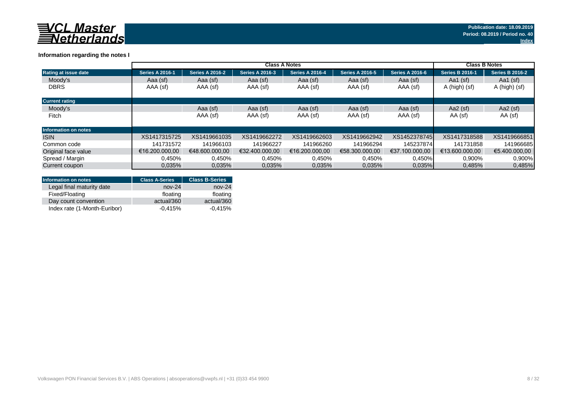

## **Information regarding the notes I**

|                             | <b>Class A Notes</b>   |                        |                        |                        |                        |                        |                        | <b>Class B Notes</b>   |  |
|-----------------------------|------------------------|------------------------|------------------------|------------------------|------------------------|------------------------|------------------------|------------------------|--|
| Rating at issue date        | <b>Series A 2016-1</b> | <b>Series A 2016-2</b> | <b>Series A 2016-3</b> | <b>Series A 2016-4</b> | <b>Series A 2016-5</b> | <b>Series A 2016-6</b> | <b>Series B 2016-1</b> | <b>Series B 2016-2</b> |  |
| Moody's                     | Aaa (sf)               | Aaa (sf)               | Aaa (sf)               | Aaa (sf)               | Aaa (sf)               | Aaa (sf)               | Aa1 $(sf)$             | Aa1 $(sf)$             |  |
| <b>DBRS</b>                 | AAA (sf)               | AAA (sf)               | AAA (sf)               | AAA (sf)               | AAA (sf)               | AAA (sf)               | A (high) (sf)          | A (high) (sf)          |  |
| <b>Current rating</b>       |                        |                        |                        |                        |                        |                        |                        |                        |  |
| Moody's                     |                        | Aaa (sf)               | Aaa (sf)               | Aaa (sf)               | Aaa (sf)               | Aaa (sf)               | Aa2 $(sf)$             | Aa2 $(sf)$             |  |
| Fitch                       |                        | AAA (sf)               | AAA (sf)               | AAA (sf)               | AAA (sf)               | AAA (sf)               | AA (sf)                | AA (sf)                |  |
| <b>Information on notes</b> |                        |                        |                        |                        |                        |                        |                        |                        |  |
| <b>ISIN</b>                 | XS1417315725           | XS1419661035           | XS1419662272           | XS1419662603           | XS1419662942           | XS1452378745           | XS1417318588           | XS1419666851           |  |
| Common code                 | 141731572              | 141966103              | 141966227              | 141966260              | 141966294              | 145237874              | 141731858              | 141966685              |  |
| Original face value         | €16.200.000.00         | €48,600,000,00         | €32.400.000.00         | €16.200.000.00         | €58.300.000.00         | €37.100.000.00         | €13.600.000.00         | €5.400.000.00          |  |
| Spread / Margin             | 0.450%                 | 0,450%                 | 0.450%                 | 0.450%                 | 0.450%                 | 0,450%                 | 0,900%                 | 0,900%                 |  |
| Current coupon              | 0.035%                 | 0.035%                 | 0.035%                 | 0.035%                 | 0.035%                 | $0.035\%$              | 0,485%                 | 0,485%                 |  |

| <b>Information on notes</b>  | <b>Class A-Series</b> | <b>Class B-Series</b> |
|------------------------------|-----------------------|-----------------------|
| Legal final maturity date    | $nov-24$              | $nov-24$              |
| Fixed/Floating               | floating              | floating              |
| Day count convention         | actual/360            | actual/360            |
| Index rate (1-Month-Euribor) | $-0.415%$             | $-0.415%$             |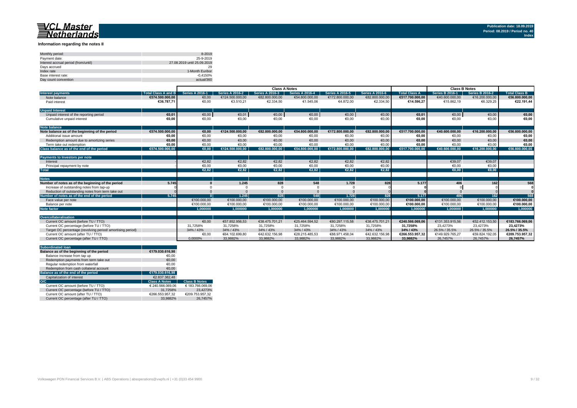#### **Information regarding the notes II**

| Monthly period:                      | 8-2019                      |
|--------------------------------------|-----------------------------|
| Payment date:                        | 25-9-2019                   |
| Interest accrual period (from/until) | 27.08.2019 until 25.09.2019 |
| Davs accrued                         | 29                          |
| Index rate                           | 1-Month Euribor             |
| Base interest rate:                  | $-0.4150%$                  |
| Day count convention                 | actual/360                  |

|                                                           |                            | <b>Class A Notes</b>   |                        |                        |                        |                        | <b>Class B Notes</b>   |                      |                        |                        |                      |
|-----------------------------------------------------------|----------------------------|------------------------|------------------------|------------------------|------------------------|------------------------|------------------------|----------------------|------------------------|------------------------|----------------------|
| <b>Interest payments</b>                                  | <b>Total Class A and B</b> | <b>Series A 2016-1</b> | <b>Series A 2016-2</b> | <b>Series A 2016-3</b> | <b>Series A 2016-4</b> | <b>Series A 2016-5</b> | <b>Series A 2016-6</b> | <b>Total Class A</b> | <b>Series B 2016-1</b> | <b>Series B 2016-2</b> | <b>Total Class B</b> |
| Note balance                                              | €574.500.000.00            | €0,00                  | €124.500.000,00        | €82.800.000,00         | €54.800.000,00         | €172.800.000,00        | €82.800.000,00         | €517.700.000.00      | €40.600.000,00         | €16.200.000,00         | €56.800.000,00       |
| Paid interest                                             | €36.787.71                 | €0,00                  | €3.510,21              | €2.334,50              | €1.545,06              | €4.872,00              | €2.334,50              | €14.596.27           | €15.862.19             | €6.329,25              | €22.191.44           |
| <b>Unpaid Interest</b>                                    |                            |                        |                        |                        |                        |                        |                        |                      |                        |                        |                      |
| Unpaid interest of the reporting period                   | €0.01                      | €0,00                  | €0,01                  | €0,00                  | €0,00                  | €0,00                  | €0,00                  | €0,01                | €0,00                  | €0,00                  | €0,00                |
| Cumulative unpaid interest                                | €0.00                      | €0,00                  | €0,00                  | €0,00                  | €0,00                  | €0,00                  | €0,00                  | €0,00                | €0,00                  | €0,00                  | €0,00                |
|                                                           |                            |                        |                        |                        |                        |                        |                        |                      |                        |                        |                      |
| <b>Note balance</b>                                       |                            |                        |                        |                        |                        |                        |                        |                      |                        |                        |                      |
| Note balance as of the beginning of the period            | €574.500.000.00            | €0.00                  | €124.500.000.00        | €82.800.000.00         | €54.800.000.00         | €172.800.000.00        | €82.800.000.00         | €517.700.000.00      | €40.600.000.00         | €16.200.000,00         | €56.800.000.00       |
| Additional issue amount                                   | €0.00                      | €0.00                  | €0,00                  | €0,00                  | €0.00                  | €0,00                  | €0,00                  | €0,00                | €0.00                  | €0,00                  | €0,00                |
| Redemotion amount due to amortizing series                | €0.00                      | €0.00                  | €0.00                  | €0,00                  | €0.00                  | €0.00                  | €0,00                  | €0.00                | €0.00                  | €0.00                  | €0,00                |
| Term take out redemption                                  | €0.00                      | €0.00                  | €0.00                  | €0.00                  | €0.00                  | €0.00                  | €0,00                  | €0,00                | €0.00                  | €0,00                  | €0,00                |
| Class balance as of the end of the period                 | €574.500.000.00            | €0.00                  | €124.500.000.00        | €82.800.000.00         | €54.800.000.00         | €172.800.000.00        | €82.800.000.00         | €517.700.000.00      | €40.600.000.00         | €16.200.000.00         | €56.800.000.00       |
|                                                           |                            |                        |                        |                        |                        |                        |                        |                      |                        |                        |                      |
| Payments to Investors per note                            |                            |                        |                        |                        |                        |                        |                        |                      |                        |                        |                      |
| Interest                                                  |                            | €2.82                  | €2,82                  | €2,82                  | €2.82                  | €2.82                  | €2,82                  |                      | €39.07                 | €39.07                 |                      |
| Principal repayment by note                               |                            | €0,00                  | €0,00                  | €0,00                  | €0,00                  | €0,00                  | €0,00                  |                      | €0,00                  | €0,00                  |                      |
| <b>Total</b>                                              |                            | E2.82                  | €2.82                  | E2.82                  | E2.82                  | €2.82                  | €2.82                  |                      | €0.00                  | €0.00                  |                      |
|                                                           |                            |                        |                        |                        |                        |                        |                        |                      |                        |                        |                      |
| <b>Notes</b>                                              |                            |                        |                        |                        |                        |                        |                        |                      |                        |                        |                      |
| Number of notes as of the beginning of the period         | 5.745                      |                        | 1.245                  | 828                    | 548                    | 1.728                  | 828                    | 5.177                | 406                    | 162                    | 568                  |
| Increase of outstanding notes from tap-up                 |                            |                        |                        |                        |                        |                        |                        |                      |                        |                        |                      |
| Reduction of outstanding notes from term take out         |                            |                        |                        |                        |                        |                        |                        |                      |                        |                        |                      |
| Number of notes as of the end of the period               | 5.745                      |                        | 1.245                  | 828                    | 548                    | 1.728                  | 828                    | 5.177                | <b>406</b>             | 162                    | 568                  |
| Face value per note                                       |                            | €100.000,00            | €100.000,00            | €100.000,00            | €100.000,00            | €100.000,00            | €100.000,00            | €100.000,00          | €100.000,00            | €100.000,00            | €100.000,00          |
| Balance per note                                          |                            | €100.000.00            | €100.000.00            | €100.000.00            | €100.000.00            | €100.000.00            | €100.000.00            | €100.000.00          | €100.000.00            | €100.000.00            | €100.000,00          |
| <b>Note factor</b>                                        |                            | 1.000000               | 1.000000               | 1.000000               | 1.000000               | 1.000000               | 1.000000               | 1.000000             | 1.000000               | 1.000000               | 1.000000             |
|                                                           |                            |                        |                        |                        |                        |                        |                        |                      |                        |                        |                      |
| Overcollateralisation                                     |                            |                        |                        |                        |                        |                        |                        |                      |                        |                        |                      |
| Current OC amount (before TU / TTO)                       |                            | €0.00                  | €57.852.956.53         | €38.475.701.21         | €25.464.594.52         | €80.297.115.58         | €38.475.701.21         | €240.566.069.06      | €131.353.915.56        | €52.412.153.50         | €183.766.069.06      |
| Current OC percentage (before TU / TTO)                   |                            | 31.7258%               | 31.7258%               | 31.7258%               | 31.7258%               | 31.7258%               | 31.7258%               | 31.7258%             | 23.4273%               | 23.4273%               | 23.4273%             |
| Target OC percentage (revolving period/amortising period) |                            | 34% / 43%              | 34% / 43%              | 34% / 43%              | 34% / 43%              | 34% / 43%              | 34% / 43%              | 34% / 43%            | 26.5% / 35.5%          | 26.5% / 35.5%          | 26.5% / 35.5%        |
| Current OC amount (after TU / TTO)                        |                            | €0,00                  | €64.102.699.80         | €42.632.156.98         | €28.215.485.53         | €88.971.458.04         | €42.632.156.98         | €266.553.957.32      | €149.929.765.27        | €59.824.192.05         | €209.753.957,32      |
| Current OC percentage (after TU / TTO)                    |                            | 0.0000%                | 33.9882%               | 33.9882%               | 33.9882%               | 33.9882%               | 33,9882%               | 33.9882%             | 26.7457%               | 26.7457%               | 26.7457%             |

| <b>Subordinated loan</b>                  |                      |                      |
|-------------------------------------------|----------------------|----------------------|
| Balance as of the beginning of the period | €179.030.616.98      |                      |
| Balance increase from tap up              | €0.00                |                      |
| Redemption payments from term take out    | €0.00                |                      |
| Regular redemption from waterfall         | €0.00                |                      |
| Redemption from cash collateral account   | €0.00                |                      |
| Balance as of the end of the period       | €179.030.616.98      |                      |
| Capitalization of interest                | €2.837.382.48        |                      |
| O/C                                       | <b>Class A Notes</b> | <b>Class B Notes</b> |
| Current OC amount (before TU / TTO)       | € 240.566.069.06     | € 183.766.069.06     |
| Current OC percentage (before TU / TTO)   | 31.7258%             | 23.4273%             |
| Current OC amount (after TU / TTO)        | €266.553.957.32      | €209.753.957.32      |
| Current OC percentage (after TU / TTO)    | 33.9882%             | 26.7457%             |
|                                           |                      |                      |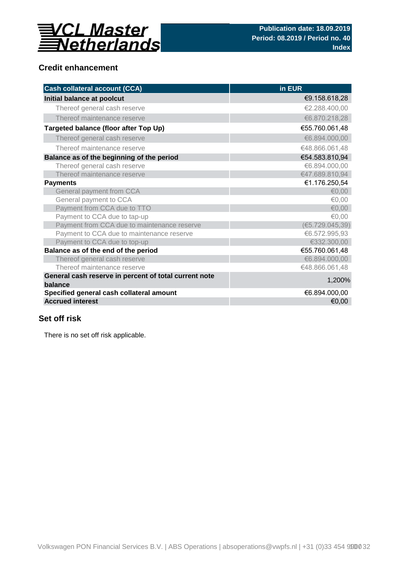

## **Credit enhancement**

| <b>Cash collateral account (CCA)</b>                             | in EUR           |
|------------------------------------------------------------------|------------------|
| Initial balance at poolcut                                       | €9.158.618,28    |
| Thereof general cash reserve                                     | €2.288.400,00    |
| Thereof maintenance reserve                                      | €6.870.218,28    |
| Targeted balance (floor after Top Up)                            | €55.760.061,48   |
| Thereof general cash reserve                                     | €6.894.000,00    |
| Thereof maintenance reserve                                      | €48.866.061,48   |
| Balance as of the beginning of the period                        | €54.583.810,94   |
| Thereof general cash reserve                                     | €6.894.000,00    |
| Thereof maintenance reserve                                      | €47.689.810,94   |
| <b>Payments</b>                                                  | €1.176.250,54    |
| General payment from CCA                                         | €0,00            |
| General payment to CCA                                           | €0,00            |
| Payment from CCA due to TTO                                      | € $0,00$         |
| Payment to CCA due to tap-up                                     | €0,00            |
| Payment from CCA due to maintenance reserve                      | (65.729.045, 39) |
| Payment to CCA due to maintenance reserve                        | €6.572.995,93    |
| Payment to CCA due to top-up                                     | €332.300,00      |
| Balance as of the end of the period                              | €55.760.061,48   |
| Thereof general cash reserve                                     | €6.894.000,00    |
| Thereof maintenance reserve                                      | €48.866.061,48   |
| General cash reserve in percent of total current note<br>balance | 1,200%           |
| Specified general cash collateral amount                         | €6.894.000,00    |
| <b>Accrued interest</b>                                          | €0,00            |

## **Set off risk**

There is no set off risk applicable.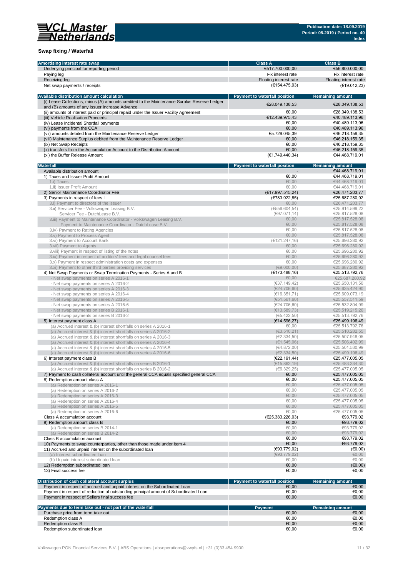

## **Swap fixing / Waterfall**

| Amortising interest rate swap                                                               | <b>Class A</b>                       | <b>Class B</b>          |
|---------------------------------------------------------------------------------------------|--------------------------------------|-------------------------|
| Underlying principal for reporting period                                                   | €517.700.000,00                      | €56.800.000,00          |
| Paying leg                                                                                  | Fix interest rate                    | Fix interest rate       |
|                                                                                             |                                      |                         |
| Receiving leg                                                                               | Floating interest rate               | Floating interest rate  |
| Net swap payments / receipts                                                                | (€154.475,93)                        | (€19.012,23)            |
|                                                                                             |                                      |                         |
| Available distribution amount calculation                                                   | <b>Payment to waterfall position</b> | <b>Remaining amount</b> |
| (i) Lease Collections, minus (A) amounts credited to the Maintenance Surplus Reserve Ledger | €28.049.138,53                       | €28.049.138,53          |
| and (B) amounts of any Issuer Increase Advance                                              |                                      |                         |
| (ii) amounts of interest paid or principal repaid under the Issuer Facility Agreement       | €0.00                                | €28.049.138,53          |
| (iii) Vehicle Realisation Proceeds                                                          | €12.439.975,43                       | €40.489.113,96          |
| (iv) Lease Incidental Shortfall payments                                                    | €0.00                                | €40.489.113,96          |
| (vi) payments from the CCA                                                                  | €0.00                                | €40.489.113,96          |
| (vii) amounts debited from the Maintenance Reserve Ledger                                   | €5.729.045.39                        | €46.218.159.35          |
| (viii) Maintenance Surplus debited from the Maintenance Reserve Ledger                      |                                      |                         |
|                                                                                             | €0,00                                | €46.218.159,35          |
| (ix) Net Swap Receipts                                                                      | €0.00                                | €46.218.159,35          |
| (x) transfers from the Accumulation Account to the Distribution Account                     | €0.00                                | €46.218.159,35          |
| (xi) the Buffer Release Amount                                                              | (E1.749.440, 34)                     | €44.468.719,01          |
|                                                                                             |                                      |                         |
| Waterfall                                                                                   | Payment to waterfall position        | <b>Remaining amount</b> |
| Available distribution amount                                                               |                                      | €44.468.719,01          |
| 1) Taxes and Issuer Profit Amount                                                           | €0,00                                | €44.468.719,01          |
| 1.i) Taxes                                                                                  | €0.00                                | €44.468.719,01          |
|                                                                                             | €0,00                                |                         |
| 1.ii) Issuer Profit Amount                                                                  |                                      | €44.468.719,01          |
| 2) Senior Maintenance Coordinator Fee                                                       | (E17.997.515,24)                     | €26.471.203,77          |
| 3) Payments in respect of fees I                                                            | (€783.922,85)                        | €25.687.280,92          |
| 3.i) Payment to directors of the issuer                                                     | €0,00                                | €26.471.203,77          |
| 3.ii) Servicer Fee - Volkswagen Leasing B.V.                                                | (6556.604, 54)                       | €25.914.599,22          |
| Servicer Fee - DutchLease B.V.                                                              | (€97.071,14)                         | €25.817.528,08          |
| 3.iii) Payment to Maintenance Coordinator - Volkswagen Leasing B.V.                         | €0,00                                | €25.817.528,08          |
|                                                                                             | €0,00                                | €25.817.528,08          |
| Payment to Maintenance Coordinator - DutchLease B.V.                                        |                                      |                         |
| 3.iv) Payment to Rating Agencies                                                            | €0.00                                | €25.817.528,08          |
| 3.v) Payment to Process Agent                                                               | €0,00                                | €25.817.528,08          |
| 3.vi) Payment to Account Bank                                                               | (€121.247,16)                        | €25.696.280.92          |
| 3. vii) Payment to Agents                                                                   | €0,00                                | €25.696.280,92          |
| 3. viii) Payment in respect of listing of the notes                                         | €0.00                                | €25.696.280,92          |
| 3.ix) Payment in respect of auditors' fees and legal counsel fees                           | €0.00                                | €25.696.280,92          |
| 3.x) Payment in respect administration costs and expenses                                   | €0,00                                | €25.696.280,92          |
|                                                                                             |                                      |                         |
| 3.xi) Payment to other third parties providing services                                     | (69.000, 00)                         | €25.687.280,92          |
| 4) Net Swap Payments or Swap Termination Payments - Series A and B                          | (E173.488, 16)                       | €25.513.792,76          |
| - Net swap payments on series A 2016-1                                                      | €0,00                                | €25.687.280,92          |
| - Net swap payments on series A 2016-2                                                      | (€37.149,42)                         | €25.650.131,50          |
| - Net swap payments on series A 2016-3                                                      | (E24.706, 60)                        | €25.625.424,90          |
| - Net swap payments on series A 2016-4                                                      | (€16.351,71)                         | €25.609.073,19          |
| - Net swap payments on series A 2016-5                                                      | (651.561, 60)                        | €25.557.511,59          |
|                                                                                             |                                      |                         |
| - Net swap payments on series A 2016-6                                                      | (E24.706, 60)                        | €25.532.804,99          |
| - Net swap payments on series B 2016-1                                                      | (E13.589,73)                         | €25.519.215,26          |
| - Net swap payments on series B 2016-2                                                      | (65.422, 50)                         | €25.513.792,76          |
| 5) Interest payment class A                                                                 | (€14.596,27)                         | €25.499.196,49          |
| (a) Accrued interest & (b) interest shortfalls on series A 2016-1                           | €0,00                                | €25.513.792,76          |
| (a) Accrued interest & (b) interest shortfalls on series A 2016-2                           | (63.510.21)                          | €25.510.282,55          |
| (a) Accrued interest & (b) interest shortfalls on series A 2016-3                           | (E2.334.50)                          | €25.507.948,05          |
| (a) Accrued interest & (b) interest shortfalls on series A 2016-4                           | (€1.545,06)                          | €25.506.402,99          |
| (a) Accrued interest & (b) interest shortfalls on series A 2016-5                           | (€4.872,00)                          | €25.501.530.99          |
|                                                                                             |                                      |                         |
| (a) Accrued interest & (b) interest shortfalls on series A 2016-6                           | (E2.334,50)                          | €25,499,196,49          |
| 6) Interest payment class B                                                                 | (€22.191,44)                         | €25.477.005.05          |
| (a) Accrued interest & (b) interest shortfalls on series B 2016-1                           | (€15.862, 19)                        | €25.483.334.30          |
| (a) Accrued interest & (b) interest shortfalls on series B 2016-2                           | (6.329, 25)                          | €25.477.005,05          |
| 7) Payment to cash collateral account until the general CCA equals specified general CCA    | €0,00                                | €25.477.005,05          |
| 8) Redemption amount class A                                                                | €0,00                                | €25.477.005,05          |
| (a) Redemption on series A 2016-1                                                           | €0,00                                | €25.477.005,05          |
| (a) Redemption on series A 2016-2                                                           | €0,00                                | €25.477.005,05          |
| (a) Redemption on series A 2016-3                                                           | €0,00                                |                         |
|                                                                                             |                                      | €25.477.005,05          |
| (a) Redemption on series A 2016-4                                                           | €0,00                                | €25.477.005,05          |
| (a) Redemption on series A 2016-5                                                           | €0,00                                | €25.477.005,05          |
| (a) Redemption on series A 2016-6                                                           | €0,00                                | €25.477.005,05          |
| Class A accumulation account                                                                | (€25.383.226,03)                     | €93.779,02              |
| 9) Redemption amount class B                                                                | €0,00                                | €93.779,02              |
| (a) Redemption on series B 2014-1                                                           | €0,00                                | €93.779,02              |
| (a) Redemption on series B 2014-2                                                           | €0,00                                | €93.779,02              |
|                                                                                             |                                      |                         |
| Class B accumulation account                                                                | €0,00                                | €93.779,02              |
| 10) Payments to swap counterparties, other than those made under item 4                     | €0,00                                | €93.779,02              |
| 11) Accrued and unpaid interest on the subordinated loan                                    | (€93.779,02)                         | (€0,00)                 |
| (a) Interest subordinated loan                                                              | (693.779.02)                         | €0,00                   |
| (b) Unpaid interest subordinated loan                                                       | €0,00                                | €0,00                   |
| 12) Redemption subordinated loan                                                            | €0,00                                | (€0,00)                 |
| 13) Final success fee                                                                       | €0,00                                | €0,00                   |
|                                                                                             |                                      |                         |
|                                                                                             |                                      |                         |
| Distribution of cash collateral account surplus                                             | Payment to waterfall position        | <b>Remaining amount</b> |
| Payment in respect of accrued and unpaid interest on the Subordinated Loan                  | €0,00                                | €0,00                   |
| Payment in respect of reduction of outstanding principal amount of Subordinated Loan        | €0,00                                | €0,00                   |
| Payment in respect of Sellers final success fee                                             | €0,00                                | €0,00                   |
|                                                                                             |                                      |                         |
| Payments due to term take out - not part of the waterfall                                   | <b>Payment</b>                       | <b>Remaining amount</b> |
| Purchase price from term take out                                                           | €0,00                                | €0,00                   |
| Redemption class A                                                                          | €0,00                                | €0,00                   |
| Redemption class B                                                                          | €0,00                                | €0,00                   |
|                                                                                             |                                      |                         |
| Redemption subordinated loan                                                                | €0,00                                | €0,00                   |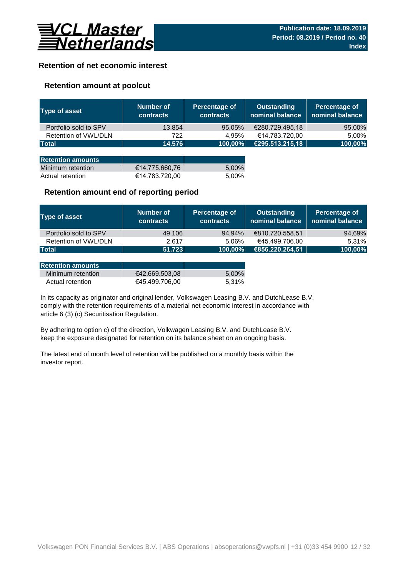

## **Retention of net economic interest**

## **Retention amount at poolcut**

| <b>Type of asset</b>     | Number of<br><b>contracts</b> | Percentage of<br><b>contracts</b> | <b>Outstanding</b><br>nominal balance | Percentage of<br>nominal balance |
|--------------------------|-------------------------------|-----------------------------------|---------------------------------------|----------------------------------|
| Portfolio sold to SPV    | 13.854                        | 95,05%                            | €280.729.495,18                       | 95,00%                           |
| Retention of VWL/DLN     | 722                           | 4.95%                             | €14.783.720,00                        | 5,00%                            |
| <b>Total</b>             | 14.576                        | 100,00%                           | €295.513.215,18                       | 100,00%                          |
|                          |                               |                                   |                                       |                                  |
| <b>Retention amounts</b> |                               |                                   |                                       |                                  |
| Minimum retention        | €14.775.660,76                | 5,00%                             |                                       |                                  |
| Actual retention         | €14.783.720,00                | 5.00%                             |                                       |                                  |

## **Retention amount end of reporting period**

| Type of asset         | Number of<br><b>contracts</b> | Percentage of<br><b>contracts</b> | <b>Outstanding</b><br>nominal balance | Percentage of<br>nominal balance |
|-----------------------|-------------------------------|-----------------------------------|---------------------------------------|----------------------------------|
| Portfolio sold to SPV | 49.106                        | 94.94%                            | €810.720.558,51                       | 94,69%                           |
| Retention of VWL/DLN  | 2.617                         | 5.06%                             | €45.499.706,00                        | 5.31%                            |
| <b>Total</b>          | 51.723                        | 100,00%                           | €856.220.264,51                       | 100,00%                          |

| <b>Retention amounts</b> |                |       |
|--------------------------|----------------|-------|
| Minimum retention        | €42.669.503.08 | 5.00% |
| Actual retention         | €45.499.706.00 | 5,31% |

article 6 (3) (c) Securitisation Regulation. In its capacity as originator and original lender, Volkswagen Leasing B.V. and DutchLease B.V. comply with the retention requirements of a material net economic interest in accordance with

By adhering to option c) of the direction, Volkwagen Leasing B.V. and DutchLease B.V. keep the exposure designated for retention on its balance sheet on an ongoing basis.

The latest end of month level of retention will be published on a monthly basis within the investor report.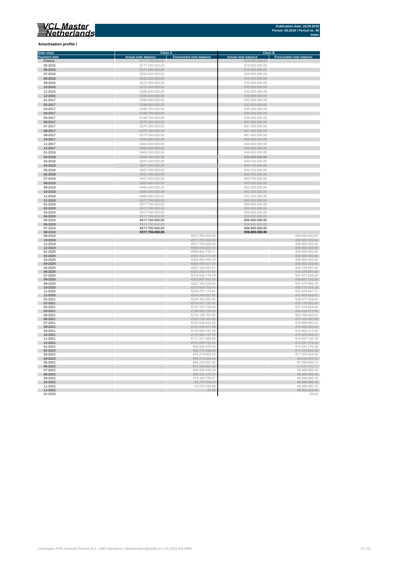**Amortisation profile I**

#### **Class A Class B Class B Class B Class B Class B Class B Class B Class B Class B Eq. 1 Note class Payment date and the Sale of the Case of the Sale of the Sale of the Sale of the Sale of the Sale of the Sale of the Sale of the Sale of the Sale of the Sale of the Sale of the Sale of the Sale of the Sale of the Sale of** Poolcut ∈19.000.000,00 ∈171.700.000,00 ∈171.700.000,00 ∈19.000.000,00 ∈19.000.000,00 ∈19.000.000,00 ∈19.000.000,00 ∈19.000.000,00 ∈19.000.000,00 ∈19.000.000,00 ∈19.000.000,00 ∈19.000.000,00 ∈19.000.000,00 ∈19.000.000,00 ∈ г 06-2016 €171.700.000,00 €19.000.000,00  $\begin{array}{r}\n 07-2016 \\
\hline\n 623.200.000,00 \\
\hline\n 625.800.000,00 \\
\hline\n 625.800.000,00 \\
\hline\n 625.800.000,00 \\
\hline\n 625.800.000,00 \\
\hline\n 625.800.000,00 \\
\hline\n 625.800.000,00 \\
\hline\n 625.800.000,00 \\
\hline\n 625.800.000,00 \\
\hline\n 625.800.000,00 \\
\h$ Ì. 08-2016 €233.200.000,00 €25.800.000,00 09-2016 €275.000.000,00 €30.400.000,00 п 10-2016 €275.000.000,00 €30.400.000,00 11-2016 €296.600.000,00 €32.800.000,00 11-2016<br>  $C296.600.000,00$ <br>  $C296.600.000,00$ <br>  $C296.600.000,00$ <br>  $C296.600.000,00$ <br>  $C296.600.000,00$ <br>  $C296.600.000,00$ <br>  $C296.600.000,00$ <br>  $C296.600.000,00$ <br>  $C286.600.000,00$ <br>  $C286.600.000,00$ <br>  $C286.600.000,00$ <br>  $C$ 12-2016 €296.600.000,00 €32.800.000,00 01-2017 €296.600.000,00 €32.800.000,00  $6346.700.000,00$  ∈38.300.000,00 ∈38.300.000,00 × 0**4-2017** €38.300.000,00 €346.700.000,00 €346.700.000,00 €38.300.000,00 €38.300.000,00 €38.300.000,00 €38.300.000,00<br>05-2017 €38.300.000,00 €346.700.000,00 €346.700.000,00 €346.700.000,00 €346.700 €38.300.000,00 €38.300.0 × 06-2017 €375.300.000,00 €41.400.000,00  $\epsilon$ 375.300.000,00  $\epsilon$  (and the set of  $\epsilon$ 41.400.000,00  $\epsilon$ 0**8-2017 ∈**41.400.000,00 ∈375.300.000,00 ∈375.300.000,00 ∈41.400.000,00 ∈41.400.000,00 ∈41.400.000,00 ∈41.400.000,00 ∈41.400.000,00 ∈41.400.000,00 ∈41.400.000,00 ∈41.400.000,00 ∈41.400.000,00 ∈41.400.000,00 ∈41.400.000,00 п 10-2017 €404.500.000,00 €44.600.000,00 11-2017 €404.500.000,00 €404.500.000,00 €404.500.000,00 €404.500.000,00 €404.500.000,00 €44.600.000,00 €44.600.000,00 r. 12-2017 €404.500.000,00 €404.500.000,00 €404.500.000,00 €404.500.000,00 €44.600.000,00 €44.600.000,00  $01-2018$  ∈404.500.000,00 ∈404.500.000,00 ∈404.500.000,00 ∈404.600.000,00 × 02-2018 €404.500.000,00 **€44.600.000,00** 03-2018 €451.400.000,00 €49.700.000,00 п 04-2018 €451.400.000,00 €49.700.000,00  $65-2018$  ∈451.400.000,00 ∈451.400.000,00 ∈451.400.000,00 ∈49.700.000,00 × 06-2018 €49.700.000,00 €451.400.000,00 € 451.400.000,00 € 5451.400.000,00 € 5451.400.000,00 € 549.700.000,00 07-2018 €451.400.000,00 €49.700.000,00 r  $\frac{6483.400.000,00}{6483.400.000,00}$   $\frac{6483.400.000,00}{6483.400,000,00}$   $\frac{653.200.000,00}{653.200,000,00}$  $09-2018$   $09-2018$   $09-2018$   $09-2018$   $09-2018$   $09-2018$   $09-2018$   $09-2018$   $09-2018$   $09-2018$   $09-2018$   $09-2018$   $09-2018$   $09-2018$   $09-2018$   $09-2018$   $09-2018$   $09-2018$   $09-2018$   $09-2018$   $09-2018$   $09-2018$  10-2018 €53.200.000,00 €683.400.000,00 €683.400.000,00 €53.200.000,00 €53.200.000,00 €53.200.000,00 €53.200.000,00<br>11-2018 €53.200.000,00 €53.200.000,00 €53.200.000,00 €53.200.000,00 €53.200.000,00 €53.200.000,00 €53.200. 12-2018 €517.700.000,00 €56.800.000,00 01-2019 €517.700.000,00 €56.800.000,00 02-2019 €517.700.000,00 €56.800.000,00 ×  $03-2019$  ∈56.800.000,00 ∈517.700.000,00  $\leq 50$ × 04-2019 €517.700.000,00 €56.800.000,00 05-2019 €517.700.000,00 €56.800.000,00 ×. 06-2019 €517.700.000,00 €56.800.000,00 07-2019 €517.700.000,00 €56.800.000,00 i. 08-2019 **€517.700.000,00 €56.800.000,00**  $09-2019$  ∈56.800.000,00 10-2019 €517.700.000,00 €56.800.000,00 11-2019 €517.700.000,00 €56.800.000,00 12-2019 €489.819.087,73 €56.800.000,00 01-2020 ∈56.800.000,00 п 02-2020 €56.800.000,00,00 € 56.800.000,00 € 57.5 € 57.5 € 57.5 € 57.5 € 57.5 € 57.5 € 57.5 € 57.5 € 57.5 € 57.5 € 57.5 € 57.5 € 57.5 € 57.5 € 57.5 € 57.5 € 57.5 € 57.5 € 57.5 € 57.5 € 57.5 € 57.5 € 57.5 € 57.5 € 57.5 € 5  $03$ -2020 ∈56.800.000,00 Ì. 04-2020 €56.800.000,00 € 66.800.000,00 € 66.800.000,00 € 66.800.000,00 € 66.800.000,00 € 66.800.000,00 € 65.800  $6347.344.497,27$   $649.155.967,4020$   $6347.344.497,27$   $649.155.967,4020$ п 06-2020 ∈43.472.883,60 €43.472.883,60 € 533.292.107,62 € 533.292.107,62 € 43.472.883,60  $07$ -2020 ∈41.613.928,46 ∈41.613.928,46 r. 08-2020 €39.481.036,09 €302.687.943,34 €302.687.943,34 €302.687.943,34 €302.687.943,34 €30.481.036,09  $09-2020$  ∈37.479.590,79 €37.479.590,79 п 10-2020 €273.829.753,61 €35.716.924,38 11-2020 €259.721.114,97 €33.876.667,17 12-2020 €31.954.443,61 €31.954.443,61 €31.954.443,61 €31.954.443,61 €31.954.443,61 €31.954.443,61 €31.954.443,61 01-2021 ∈29.917.029,40 €229.363.892,08 ∈229.363.892,08 ∈29.917.029,40 02-2021 €28.179.355,43  $03$ -2021 ∈27.019.624,46 ∈27.019.624,46 04-2021 €186.552.799,50 €24.332.973,85  **∈22.709.830,83** 06-2021 €163.725.350,98 €21.355.480,56  $07-2021$  ∈19.899.060,43 08-2021 €141.548.617,99 €18.462.863,22  $09-2021$  ∈ 130.045.181,29  $\blacksquare$   $045.181,29$   $\blacksquare$   $05.2021$   $\blacksquare$   $05.2414,95$ 10-2021 €119.980.797,76 €15.649.669,27 11-2021 €111.221.489,28 €14.507.150,78 12-2021 €101.899.785,58 €13.291.276,38 01-2022 ∈93.656.575,03 ∈93.656.575,03 ∈93.656.575,03 €93.656.575,03 €93.656.575,03 €13.291.276,38 02-2022 €86.774.586,68 €11.318.424,35  $03-2022$  ∈11.318.424,35 I. 04-2022  $\epsilon$  68.636.557,10  $05-2022$  ∈  $05-2022$  ∈  $05-74$  ∈  $05-2022$  ∈  $05-74$  ∈  $05-2022$  ∈  $05-74$  ∈  $05-74$  ∈  $05-74$  ∈  $05-74$  ∈  $05-74$  ∈  $05-74$  ∈  $05-74$  ∈  $05-74$  ∈  $05-74$  ∈  $05-74$  ∈  $05-74$  ∈  $05-74$  ∈  $05-74$  ∈  $05-74$  ∈  $05-74$  ∈  $0$ 06-2022  $\epsilon$ 51.289.924,54  $\epsilon$ 51.289.924,54  $\epsilon$ 51.289.924,54  $\epsilon$ 51.289.924,54  $\epsilon$ 5.689.990,16  $07-2022$  ∈39.064.936,34 ∈6.689.990,16 08-2022 €26.337.416,37 €6.689.990,16  $09-2022$  ∈ 6.689.990,16 10-2022 €8.689.990,16 €8.770.496,04 €8.770.496,04 €8.770.496,04 €8.770.496,04 €8.770.496,04 €8.689.990,16 11-2022 ∈ 3.574.545,88 ∈ 3.574.545,88 ∈ 3.574.545,88 ∈ 3.574.545,88 ∈ 3.574.545,88 ∈ 3.574.545,88 ∈ 3.574.545,88 ∈ 3.574.545,88 ∈ 3.574.545,88 ∈ 3.574.545,88 ∈ 3.574.545,88 ∈ 3.574.545,88 ∈ 3.574.545,88 ∈ 3.574.545,88 ∈

12-2022 €6.600.029,44  $01$ -2023  $\in$  0.00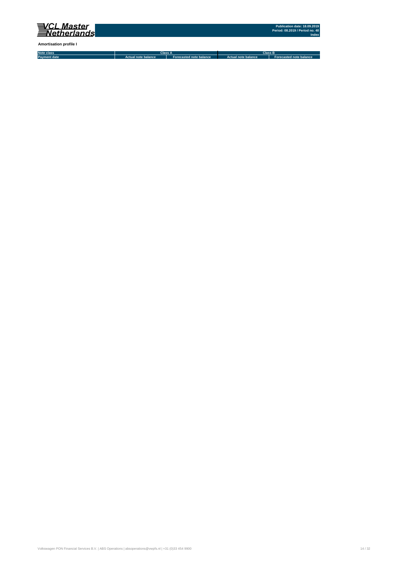

**Amortisation profile I**

**Note class Payment date Actual note balance Forecasted note balance Actual note balance2 Forecasted note balance3 Class A Class B**

Volkswagen PON Financial Services B.V. | ABS Operations | absoperations@vwpfs.nl | +31 (0)33 454 9900 14 / 32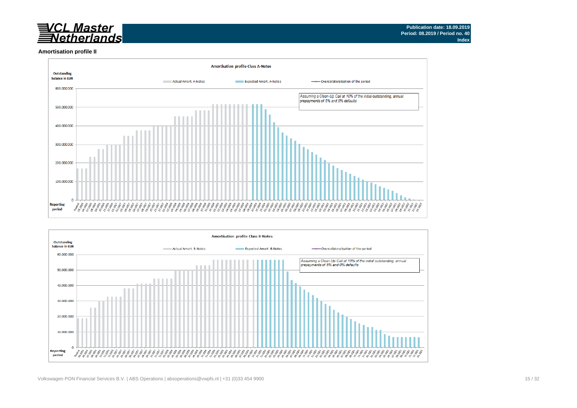# <u>VCL Master</u><br>FNetherlands

#### **Amortisation profile II**



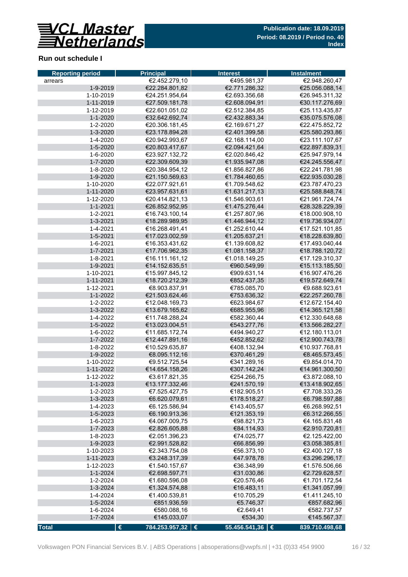

## **Run out schedule I**

| <b>Reporting period</b> | <b>Principal</b>                 | <b>Interest</b>            | <b>Instalment</b>                |
|-------------------------|----------------------------------|----------------------------|----------------------------------|
| arrears                 | €2.452.279,10                    | €495.981,37                | €2.948.260,47                    |
| 1-9-2019                | €22.284.801,82                   | €2.771.286,32              | €25.056.088,14                   |
| 1-10-2019               | €24.251.954,64                   | €2.693.356,68              | €26.945.311,32                   |
| 1-11-2019               | €27.509.181,78                   | €2.608.094,91              | €30.117.276,69                   |
| 1-12-2019               | €22.601.051,02                   | €2.512.384,85              | €25.113.435,87                   |
| 1-1-2020                | €32.642.692,74                   | €2.432.883,34              | €35.075.576,08                   |
| 1-2-2020                | €20.306.181,45                   | €2.169.671,27              | €22.475.852,72                   |
| 1-3-2020                | €23.178.894,28                   | €2.401.399,58              | €25.580.293,86                   |
| 1-4-2020                | €20.942.993,67                   | €2.168.114,00              | €23.111.107,67                   |
| 1-5-2020                | €20.803.417,67                   | €2.094.421,64              | €22.897.839,31                   |
| 1-6-2020                | €23.927.132,72                   | €2.020.846,42              | €25.947.979,14                   |
| 1-7-2020                | €22.309.609,39                   | €1.935.947,08              | €24.245.556,47                   |
| 1-8-2020                | €20.384.954,12                   | €1.856.827,86              | €22.241.781,98                   |
| 1-9-2020                | €21.150.569,63                   | €1.784.460,65              | €22.935.030,28                   |
| 1-10-2020               | €22.077.921,61                   | €1.709.548,62              | €23.787.470,23                   |
| 1-11-2020               | €23.957.631,61                   | €1.631.217,13              | €25.588.848,74                   |
| 1-12-2020               | €20.414.821,13                   | €1.546.903,61              | €21.961.724,74                   |
| $1 - 1 - 2021$          | €26.852.952,95                   | €1.475.276,44              | €28.328.229,39                   |
| 1-2-2021                | €16.743.100,14                   | €1.257.807,96              | €18.000.908,10                   |
| 1-3-2021                | €18.289.989,95                   | €1.446.944,12              | €19.736.934,07                   |
| 1-4-2021                | €16.268.491,41                   | €1.252.610,44              | €17.521.101,85                   |
| 1-5-2021                | €17.023.002,59                   | €1.205.637,21              | €18.228.639,80                   |
| 1-6-2021                | €16.353.431,62                   | €1.139.608,82              | €17.493.040,44                   |
| 1-7-2021                | €17.706.962,35                   | €1.081.158,37              | €18.788.120,72                   |
| 1-8-2021                | €16.111.161,12                   | €1.018.149,25              | €17.129.310,37                   |
| 1-9-2021                | €14.152.635,51                   | €960.549,99                | €15.113.185,50                   |
| 1-10-2021               | €15.997.845,12                   | €909.631,14                | €16.907.476,26                   |
| $1 - 11 - 2021$         | €18.720.212,39                   | €852.437,35                | €19.572.649,74                   |
| 1-12-2021               | €8.903.837,91                    | €785.085,70                | €9.688.923,61                    |
| 1-1-2022                | €21.503.624,46                   | €753.636,32                | €22.257.260,78                   |
| 1-2-2022                | €12.048.169,73                   | €623.984,67                | €12.672.154,40                   |
| 1-3-2022<br>1-4-2022    | €13.679.165,62<br>€11.748.288,24 | €685.955,96<br>€582.360,44 | €14.365.121,58<br>€12.330.648,68 |
| 1-5-2022                | €13.023.004,51                   | €543.277,76                | €13.566.282,27                   |
| 1-6-2022                | €11.685.172,74                   | €494.940,27                | €12.180.113,01                   |
| 1-7-2022                | €12.447.891,16                   | €452.852,62                | €12.900.743,78                   |
| 1-8-2022                | €10.529.635,87                   | €408.132,94                | €10.937.768,81                   |
| 1-9-2022                | €8.095.112,16                    | €370.461,29                | €8.465.573,45                    |
| 1-10-2022               | €9.512.725.54                    | €341.289,16                | €9.854.014,70                    |
| 1-11-2022               | €14.654.158,26                   | €307.142,24                | €14.961.300.50                   |
| 1-12-2022               | €3.617.821,35                    | €254.266,75                | €3.872.088,10                    |
| $1 - 1 - 2023$          | €13.177.332,46                   | €241.570,19                | €13.418.902,65                   |
| 1-2-2023                | €7.525.427,75                    | €182.905,51                | €7.708.333,26                    |
| 1-3-2023                | €6.620.079,61                    | €178.518,27                | €6.798.597,88                    |
| 1-4-2023                | €6.125.586,94                    | €143.405,57                | €6.268.992,51                    |
| 1-5-2023                | €6.190.913,36                    | €121.353,19                | €6.312.266,55                    |
| 1-6-2023                | €4.067.009,75                    | €98.821,73                 | €4.165.831,48                    |
| 1-7-2023                | €2.826.605,88                    | €84.114,93                 | €2.910.720,81                    |
| 1-8-2023                | €2.051.396,23                    | €74.025,77                 | €2.125.422,00                    |
| 1-9-2023                | €2.991.528,82                    | €66.856,99                 | €3.058.385,81                    |
| 1-10-2023               | €2.343.754,08                    | €56.373,10                 | €2.400.127,18                    |
| 1-11-2023               | €3.248.317,39                    | €47.978,78                 | €3.296.296,17                    |
| 1-12-2023               | €1.540.157,67                    | €36.348,99                 | €1.576.506,66                    |
| 1-1-2024                | €2.698.597,71                    | €31.030,86                 | €2.729.628,57                    |
| 1-2-2024                | €1.680.596,08                    | €20.576,46                 | €1.701.172,54                    |
| 1-3-2024                | €1.324.574,88                    | €16.483,11                 | €1.341.057,99                    |
| 1-4-2024                | €1.400.539,81                    | €10.705,29                 | €1.411.245,10                    |
| 1-5-2024                | €851.936,59                      | €5.746,37                  | €857.682,96                      |
| 1-6-2024                | €580.088,16                      | €2.649,41                  | €582.737,57                      |
| 1-7-2024                | €145.033,07                      | €534,30                    | €145.567,37                      |
| <b>Total</b>            | €<br>784.253.957,32   €          | 55.456.541,36 €            | 839.710.498,68                   |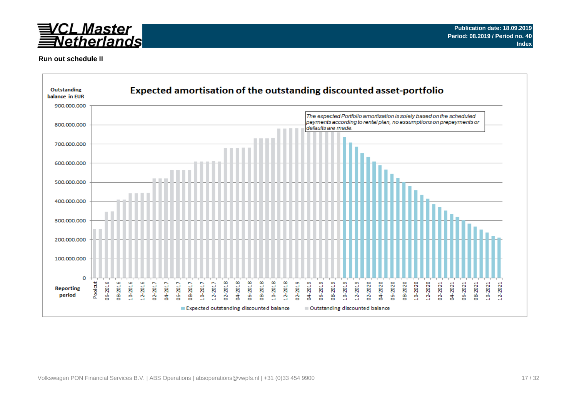

### **Run out schedule II**

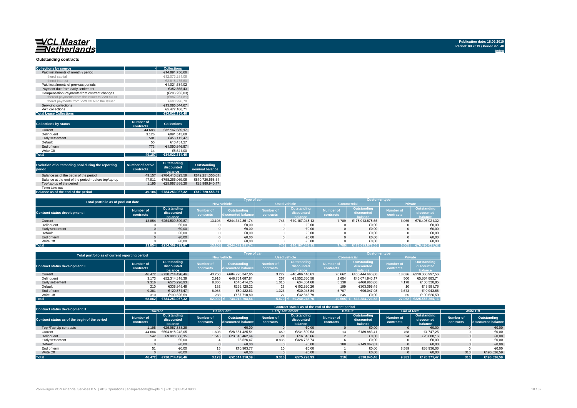#### **Outstanding contracts**

| <b>Collections by source</b>                | <b>Collections</b> |
|---------------------------------------------|--------------------|
| Paid instalments of monthly period          | €14.891.756.66     |
| therof capital                              | €12.073.281.06     |
| therof interest                             | €2.818.475.60      |
| Paid instalments of previous periods        | €1.021.534.02      |
| Payment due from early settlement           | €352.365.43        |
| Compensation Payments from contract changes | (€206.235.03)      |
| thereof payments from the Issuer to VWL/DLN | (€887.231.81)      |
| therof payments from VWL/DLN to the Issuer  | €680.996.78        |
| Servicing collections                       | €13.085.544.67     |
| VAT collections                             | €5.477.168.71      |
| <b>Total Lease Collections</b>              | €34.622.134.46     |

| <b>Collections by status</b> | <b>Number of</b><br>contracts | <b>Collections</b> |
|------------------------------|-------------------------------|--------------------|
| Current                      | 44.688                        | €32.167.689.17     |
| Delinquent                   | 3.126                         | €891.513.68        |
| Early settlement             | 501                           | €456.112.47        |
| Default                      | 55                            | €10.431.27         |
| End of term                  | 773                           | €1.090.846.87      |
| Write Off                    | 14                            | €5.541.00          |
| <b>Total</b>                 | 49.157                        | €34.622.134.46     |

| Evolution of outstanding pool during the reporting<br>period | <b>Number of active</b><br>contracts | Outstanding<br>discounted<br>balance | Outstanding<br>nominal balance |
|--------------------------------------------------------------|--------------------------------------|--------------------------------------|--------------------------------|
| Balance as of the begin of the period                        | 49.157                               | €784.410.823.59                      | €842.251.350.01                |
| Balance at the end of the period - before top/tap-up         | 47.911                               | €758.266.069.06                      | €810.720.558.51                |
| Top/tap-up of the period                                     | 1.195                                | €25.987.888.26                       | €28.989.940.17                 |
| Term take out                                                | $\overline{\phantom{a}}$             |                                      |                                |
| Balance as of the end of the period                          | 49.106                               | €784.253.957.32                      | €810.720.558.51                |

| Total portfolio as of pool cut date  |                        |                                      |                        | Type of car                       |                               |                                      | <b>Customer type</b>          |                                      |                               |                                      |  |
|--------------------------------------|------------------------|--------------------------------------|------------------------|-----------------------------------|-------------------------------|--------------------------------------|-------------------------------|--------------------------------------|-------------------------------|--------------------------------------|--|
|                                      |                        |                                      | <b>New vehicle</b>     | <b>Used vehicle</b>               |                               |                                      | <b>Commercial</b>             | <b>Private</b>                       |                               |                                      |  |
| <b>Contract status development I</b> | Number of<br>contracts | Outstanding<br>discounted<br>balance | Number of<br>contracts | Outstanding<br>discounted balance | <b>Number of</b><br>contracts | Outstanding<br>discounted<br>halance | <b>Number of</b><br>contracts | Outstanding<br>discounted<br>halance | <b>Number of</b><br>contracts | Outstanding<br>discounted<br>balance |  |
| Current                              | 13.854                 | €254.509.899.87                      | 13.108                 | €244.342.851.74                   | 746                           | €10.167.048.13                       | 7.789                         | €178.013.878.55                      | 6.065                         | €76.496.021,32                       |  |
| Delinquent                           |                        | €0,00                                |                        | €0.00                             |                               | €0,00                                |                               | €0,00                                |                               | €0,00                                |  |
| Early settlement                     |                        | €0,00                                |                        | €0,00                             |                               | €0,00                                |                               | €0,00                                |                               | €0,00                                |  |
| Default                              |                        | €0.00                                |                        | €0,00                             |                               | €0.00                                |                               | €0,00                                |                               | €0,00                                |  |
| End of term                          |                        | €0.00                                |                        | €0.00                             |                               | €0.00                                |                               | €0.00                                |                               | €0,00                                |  |
| Write Off                            |                        | €0.00                                |                        | €0.00                             |                               | €0.00                                |                               | €0.00                                |                               | €0,00                                |  |
| <b>Total</b>                         | 13.854                 | €254.509.899.87                      |                        | €244.342.851.74                   | 746                           | €10.167.048.13                       | 7.789                         | 13.878.55<br>E178.0                  | 6.065.                        | 196.021.32<br>- €76.4⊾               |  |

| Total portfolio as of current reporting period |                        |                                      |                               | Type of car                              |                               |                                      | <b>Customer type</b>          |                                      |                               |                                      |  |
|------------------------------------------------|------------------------|--------------------------------------|-------------------------------|------------------------------------------|-------------------------------|--------------------------------------|-------------------------------|--------------------------------------|-------------------------------|--------------------------------------|--|
|                                                |                        | <b>New vehicle</b>                   |                               | <b>Used vehicle</b>                      |                               |                                      | Commercial                    | <b>Private</b>                       |                               |                                      |  |
| <b>Contract status development II</b>          | Number of<br>contracts | Outstanding<br>discounted<br>balance | <b>Number of</b><br>contracts | <b>Outstanding</b><br>discounted balance | <b>Number of</b><br>contracts | Outstanding<br>discounted<br>balance | <b>Number of</b><br>contracts | Outstanding<br>discounted<br>balance | <b>Number of</b><br>contracts | Outstanding<br>discounted<br>balance |  |
| Current                                        | 46,472                 | €730.714.496.46                      | 43.250                        | €684.228.347.85                          | 3.222                         | €46.486.148.61                       | 26.662                        | €486.444.666.80                      | 18.636                        | €219.366.997.56                      |  |
| Delinquent                                     | 3.173                  | €52.314.318.39                       | 2.916                         | €48.761.687.81                           | 257                           | €3.552.630.58                        | 2.654                         | €46.071.943.17                       | 500                           | €5.864.883.71                        |  |
| Early settlement                               | 9.316                  | €575.298.93                          | 8.306                         | €540.414.25                              | 1.010                         | €34.884.68                           | 5.138                         | €468,968,08                          | 4.178                         | €106.330,85                          |  |
| Default                                        | 210                    | €338,945.48                          | 182                           | €236.125.22                              | 28                            | €102.820.26                          | 199                           | €303.098.45                          |                               | €13.581.76                           |  |
| End of term                                    | 9.381                  | €120.371.47                          | 8.055                         | €89.422.63                               | 1.326                         | €30.948.84                           | 5.707                         | €96.047.08                           | 3.673                         | €10.943.66                           |  |
| Write Off                                      | 310                    | €190.526.59                          | 283                           | €157.710.80                              | 27                            | €32.815.79                           | 245                           | €0.00                                | 65                            | €190.526.59                          |  |
| <b>Total</b>                                   | 68.862                 | €784.253.957.32                      | $62.992$ $\epsilon$           | 734.013.708.56                           |                               | 5.870 € 50.240.248.76                | 40.605                        | 533.384.723.58                       | 27.062                        | €225.553.264.13                      |  |

| <b>Contract status development III</b>        |                               |                                      |                               |                                   |                         | Contract status as of the end of the current period |                        |                                      |                        |                                      |                        |                                   |
|-----------------------------------------------|-------------------------------|--------------------------------------|-------------------------------|-----------------------------------|-------------------------|-----------------------------------------------------|------------------------|--------------------------------------|------------------------|--------------------------------------|------------------------|-----------------------------------|
|                                               | Current                       |                                      |                               | <b>Delinguent</b>                 | <b>Early settlement</b> |                                                     |                        | <b>Default</b>                       | End of term            |                                      | <b>Write Off</b>       |                                   |
| Contract status as of the begin of the period | <b>Number of</b><br>contracts | Outstanding<br>discounted<br>halance | <b>Number of</b><br>contracts | Outstanding<br>discounted balance | Number of<br>contracts  | Outstanding<br>discounted<br>balance                | Number of<br>contracts | Outstanding<br>discounted<br>balance | Number of<br>contracts | Outstanding<br>discounted<br>balance | Number of<br>contracts | Outstanding<br>discounted balance |
| Top-/Tap-Up contracts                         | 1.195                         | €25.987.888.26                       |                               | €0,00                             |                         | €0,00                                               |                        | €0,00                                |                        | €0.00                                |                        | €0,00                             |
| Current                                       | 44.684                        | €694.818.242.05                      | 1.608                         | €28.651.425.51                    | 450                     | €231.899.53                                         |                        | €189.883.41                          | 768                    | €4.747.25                            |                        | €0,00                             |
| Delinquent                                    | 542                           | €9.908.366.15                        | 1.546                         | €23.643.462.64                    | 21                      | €16.645.66                                          |                        | €0.00                                | 24                     | €26,688,16                           |                        | €0,00                             |
| Early settlement                              |                               | €0,00                                |                               | €8.526.47                         | 8.835                   | €326.753.74                                         |                        | €0,00                                |                        | €0.00                                |                        | €0,00                             |
| Default                                       |                               | €0.00                                |                               | €0.00                             |                         | €0,00                                               | 188                    | €149.062.07                          |                        | €0.00                                |                        | €0,00                             |
| End of term                                   | 51                            | €0.00                                | 15                            | €10.903.77                        | 10 <sup>1</sup>         | €0,00                                               |                        | €0.00                                | 8.589                  | €88.936.06                           |                        | €0.00                             |
| Write Off                                     |                               | €0.00                                |                               | €0,00                             |                         | €0,00                                               |                        | €0,00                                |                        | €0.00                                | 310                    | €190.526,59                       |
| <b>Total</b>                                  | 46.472                        | €730.714.496.46                      | 3.173                         | €52.314.318.39                    | 9.316                   | €575.298,93                                         | 210                    | €338,945.48                          | 9.381                  | €120.371.47                          | 310                    | €190.526,59                       |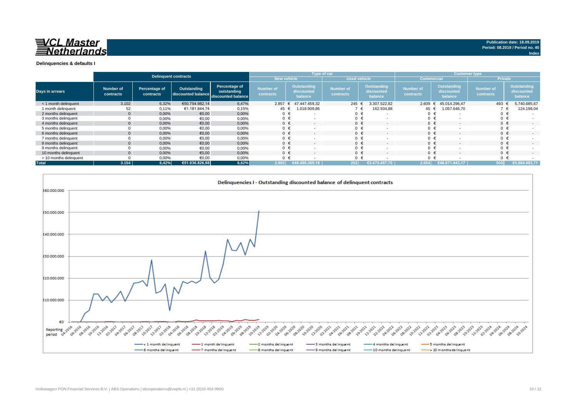

|                        |                        |                            | Delinquent contracts                                 |                              |                               |                                             | <b>Type of car</b> |                               |                                             |                               | <b>Customer type</b>                 |                               |                                      |  |  |
|------------------------|------------------------|----------------------------|------------------------------------------------------|------------------------------|-------------------------------|---------------------------------------------|--------------------|-------------------------------|---------------------------------------------|-------------------------------|--------------------------------------|-------------------------------|--------------------------------------|--|--|
|                        |                        |                            |                                                      |                              | New vehicle                   |                                             |                    | <b>Used vehicle</b>           |                                             | <b>Commercial</b>             |                                      | <b>Private</b>                |                                      |  |  |
| Days in arrears        | Number of<br>contracts | Percentage of<br>contracts | Outstanding<br>discounted balance discounted balance | Percentage of<br>outstanding | <b>Number of</b><br>contracts | <b>Outstanding</b><br>discounted<br>balance |                    | <b>Number of</b><br>contracts | <b>Outstanding</b><br>discounted<br>balance | <b>Number of</b><br>contracts | Outstanding<br>discounted<br>balance | <b>Number of</b><br>contracts | Outstanding<br>discounted<br>balance |  |  |
| < 1 month delinquent   | 3.102                  | 6,32%                      | €50.754.982.14                                       | 6,47%                        | 2.857                         | 47.447.459.32<br>ŧ                          |                    | 245 €                         | 3.307.522,82                                | $2.609$ €                     | 45.014.296.47                        | 493 €                         | 5.740.685,67                         |  |  |
| 1 month delinquent     | 52                     | 0,11%                      | €1.181.844.74                                        | 0,15%                        | 45 €                          | 018.909,86                                  |                    |                               | 162.934,88                                  | 45 €                          | 1.057.646,70                         |                               | 124.198,04                           |  |  |
| 2 months delinguent    | $\overline{0}$         | 0,00%                      | €0,00                                                | 0,00%                        |                               | $\overline{\phantom{a}}$                    |                    | $0 \in$                       | . .                                         | 0                             |                                      | $0 \in$                       |                                      |  |  |
| 3 months delinguent    |                        | 0,00%                      | €0,00                                                | 0,00%                        | $0 \in$                       |                                             |                    | $0 \in$                       |                                             | $\mathbf 0$                   |                                      | $0 \in$                       |                                      |  |  |
| 4 months delinquent    | $\mathbf{0}$           | 0,00%                      | €0,00                                                | 0,00%                        | $0 \in$                       | $\sim$                                      |                    | $0 \in$                       | $\overline{a}$                              | $0 \in$                       |                                      | $0 \in$                       | $\sim$                               |  |  |
| 5 months delinguent    |                        | 0,00%                      | €0.00                                                | 0,00%                        |                               |                                             |                    | $0 \in$                       |                                             | $\Omega$                      |                                      | $0 \in$                       |                                      |  |  |
| 6 months delinquent    | $\overline{0}$         | 0,00%                      | €0,00                                                | 0,00%                        | $0 \in$                       | $\overline{\phantom{a}}$                    |                    | $0 \in$                       | $\overline{\phantom{a}}$                    | $0 \in$                       |                                      | $0 \in$                       |                                      |  |  |
| 7 months delinguent    |                        | 0,00%                      | €0,00                                                | 0,00%                        | $0 \in$                       |                                             |                    | $0 \in$                       |                                             | $\Omega$                      |                                      | $0 \in$                       |                                      |  |  |
| 8 months delinquent    | $\mathbf{0}$           | 0,00%                      | €0,00                                                | 0,00%                        |                               | $\overline{\phantom{a}}$                    |                    | $0 \in$                       | $\overline{\phantom{a}}$                    | $0 \in$                       |                                      | $0 \in$                       |                                      |  |  |
| 9 months delinguent    |                        | 0,00%                      | €0,00                                                | 0,00%                        |                               | $\overline{\phantom{a}}$                    |                    | $0 \in$                       |                                             | $\Omega$                      |                                      | $0 \in$                       |                                      |  |  |
| 10 months delinquent   | $\mathbf{0}$           | 0,00%                      | €0,00                                                | 0,00%                        | $0 \in$                       |                                             |                    | $0 \in$                       | $\overline{\phantom{a}}$                    | $\Omega$                      |                                      | $0 \in$                       |                                      |  |  |
| > 10 months delinquent |                        | 0,00%                      | €0.00                                                | 0,00%                        | $0 \in$                       |                                             |                    | $0 \in$                       |                                             | $\Omega$                      |                                      | $0 \in$                       |                                      |  |  |
| <b>Total</b>           | 3.154                  | 6,42%                      | €51.936.826,88                                       | 6,62%                        | 2.902                         | €48.                                        |                    | 252                           | €3.470.457.70                               | 2.654                         | €46.071.943.17                       | 500                           | €5.864.883,71                        |  |  |

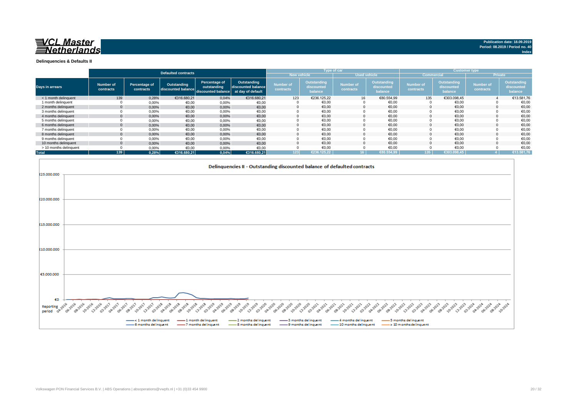

**Index**

**Delinquencies & Defaults II**

|                        |                        |                            |                                   |                                                    |                                                        |                               |                                      | Type of car                   |                                      |                               |                                      | <b>Customer type</b>          |                                      |
|------------------------|------------------------|----------------------------|-----------------------------------|----------------------------------------------------|--------------------------------------------------------|-------------------------------|--------------------------------------|-------------------------------|--------------------------------------|-------------------------------|--------------------------------------|-------------------------------|--------------------------------------|
|                        |                        |                            | <b>Defaulted contracts</b>        |                                                    |                                                        |                               | <b>New vehicle</b>                   | <b>Used vehicle</b>           |                                      | <b>Commercial</b>             |                                      |                               | <b>Private</b>                       |
| <b>Days in arrears</b> | Number of<br>contracts | Percentage of<br>contracts | Outstanding<br>discounted balance | Percentage of<br>outstanding<br>discounted balance | Outstanding<br>discounted balance<br>at day of default | <b>Number of</b><br>contracts | Outstanding<br>discounted<br>balance | <b>Number of</b><br>contracts | Outstanding<br>discounted<br>balance | <b>Number of</b><br>contracts | Outstanding<br>discounted<br>balance | <b>Number of</b><br>contracts | Outstanding<br>discounted<br>balance |
| < 1 month delinquent   | 139                    | 0,28%                      | €316.680,21                       | 0,04%                                              | €316.680,21                                            | 123                           | €236.125.22                          | 16                            | €80.554.99                           | 135                           | €303.098.45                          |                               | €13.581,76                           |
| 1 month delinquent     |                        | 0,00%                      | €0,00                             | 0,00%                                              | €0,00                                                  |                               | €0.00                                |                               | €0.00                                |                               | €0.00                                |                               | €0,00                                |
| 2 months delinguent    | $\mathbf{0}$           | 0,00%                      | €0,00                             | 0,00%                                              | €0,00                                                  |                               | €0.00                                |                               | €0.00                                |                               | €0.00                                |                               | €0,00                                |
| 3 months delinquent    |                        | 0,00%                      | €0,00                             | 0,00%                                              | €0,00                                                  |                               | €0,00                                |                               | €0,00                                |                               | €0,00                                |                               | €0,00                                |
| 4 months delinguent    | $\mathbf{0}$           | 0,00%                      | €0,00                             | 0,00%                                              | €0,00                                                  |                               | €0.00                                | $\Omega$                      | €0.00                                |                               | €0.00                                |                               | €0.00                                |
| 5 months delinguent    |                        | 0,00%                      | €0,00                             | 0,00%                                              | €0,00                                                  |                               | €0.00                                |                               | €0.00                                |                               | €0,00                                |                               | €0,00                                |
| 6 months delinquent    | $\mathbf{0}$           | 0,00%                      | €0.00                             | 0,00%                                              | €0,00                                                  |                               | €0,00                                |                               | €0,00                                |                               | €0,00                                |                               | €0,00                                |
| 7 months delinquent    |                        | 0,00%                      | €0,00                             | 0,00%                                              | €0,00                                                  |                               | €0,00                                |                               | €0,00                                |                               | €0,00                                |                               | €0,00                                |
| 8 months delinquent    |                        | 0,00%                      | €0,00                             | 0,00%                                              | €0,00                                                  |                               | €0.00                                |                               | €0.00                                |                               | €0,00                                |                               | €0,00                                |
| 9 months delinquent    |                        | 0.00%                      | €0.00                             | 0,00%                                              | €0,00                                                  |                               | €0,00                                |                               | €0,00                                |                               | €0,00                                |                               | €0,00                                |
| 10 months delinguent   | $\Omega$               | 0,00%                      | €0.00                             | 0,00%                                              | €0,00                                                  |                               | €0.00                                |                               | €0.00                                |                               | €0.00                                |                               | €0,00                                |
| > 10 months delinquent |                        | 0,00%                      | €0,00                             | 0,00%                                              | €0,00                                                  |                               | €0,00                                |                               | €0,00                                |                               | €0,00                                |                               | €0,00                                |
| <b>Total</b>           | 139                    | 0.28%                      | €316.680.21                       | 0.04%                                              | €316.680.21                                            | 123                           | €236.125,22                          | $16-1$                        | €80.554,99                           | 135 <sub>1</sub>              | €303.098,45                          |                               | €13.581,76                           |

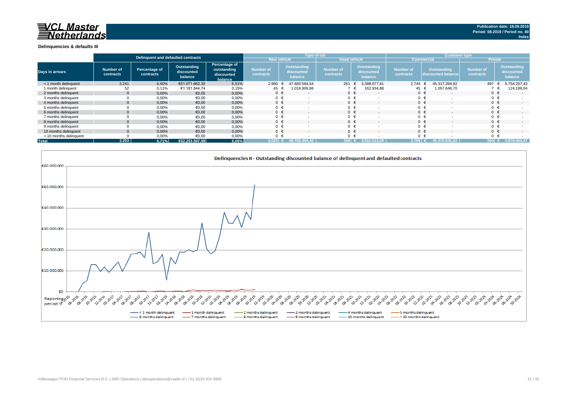#### **Delinquencies & defaults III**

|                        | Delinguent and defaulted contracts |                            |                                      |                                                       |                               |                                             | <b>Type of car</b>            |                                             | <b>Customer type</b>          |                                   |                               |                                      |
|------------------------|------------------------------------|----------------------------|--------------------------------------|-------------------------------------------------------|-------------------------------|---------------------------------------------|-------------------------------|---------------------------------------------|-------------------------------|-----------------------------------|-------------------------------|--------------------------------------|
|                        |                                    |                            |                                      |                                                       | New vehicle                   |                                             | <b>Used vehicle</b>           |                                             | <b>Commercial</b>             |                                   | <b>Private</b>                |                                      |
| <b>Days in arrears</b> | <b>Number of</b><br>contracts      | Percentage of<br>contracts | Outstanding<br>discounted<br>balance | Percentage of<br>outstanding<br>discounted<br>balance | <b>Number of</b><br>contracts | <b>Outstanding</b><br>discounted<br>balance | <b>Number of</b><br>contracts | <b>Outstanding</b><br>discounted<br>balance | <b>Number of</b><br>contracts | Outstanding<br>discounted balance | <b>Number of</b><br>contracts | Outstanding<br>discounted<br>balance |
| < 1 month delinquent   | 3.241                              | 6,60%                      | €51.071.662,35                       | 6,51%                                                 | 2.980                         | 47.683.584.54                               | 261                           | 3.388.077,81                                | 2.744                         | 45.317.394.92                     | 497                           | 5.754.267,43                         |
| 1 month delinquent     | 52                                 | 0,11%                      | €1.181.844,74                        | 0,15%                                                 | 45 €                          | 1.018.909,86                                |                               | 162.934,88                                  | 45 €                          | 1.057.646,70                      |                               | 124.198,04                           |
| 2 months delinguent    | $\Omega$                           | 0,00%                      | €0,00                                | 0,00%                                                 | $0 \in$                       | $\overline{\phantom{a}}$                    | $0 \in$                       | $\sim$                                      | $0 \in$                       | $\overline{\phantom{a}}$          | $0 \in$                       | $\sim$                               |
| 3 months delinquent    |                                    | 0,00%                      | €0,00                                | 0,00%                                                 | $0 \in$                       |                                             |                               |                                             | $0 \in$                       |                                   |                               |                                      |
| 4 months delinquent    | $\Omega$                           | 0,00%                      | €0,00                                | 0,00%                                                 | $0 \in$                       | $\overline{\phantom{a}}$                    | $0 \in$                       |                                             |                               | $0 \in$                           | $0 \in$                       | $\sim$                               |
| 5 months delinquent    |                                    | 0,00%                      | €0,00                                | 0,00%                                                 | $0 \in$                       |                                             |                               |                                             |                               | $0 \in$                           |                               |                                      |
| 6 months delinguent    |                                    | 0,00%                      | €0,00                                | 0,00%                                                 | $0 \in$                       |                                             |                               |                                             |                               | $0 \in$                           |                               | $\sim$                               |
| 7 months delinquent    |                                    | 0,00%                      | €0,00                                | 0,00%                                                 | $0 \in$                       |                                             |                               |                                             | $0 \in$                       |                                   |                               |                                      |
| 8 months delinguent    |                                    | 0,00%                      | €0,00                                | 0,00%                                                 | $0 \in$                       |                                             |                               |                                             | $0 \in$                       |                                   |                               | $\sim$                               |
| 9 months delinquent    |                                    | 0,00%                      | €0,00                                | 0,00%                                                 | $0 \in$                       |                                             | $\Omega$                      |                                             |                               | $0 \in$                           |                               |                                      |
| 10 months delinquent   |                                    | 0,00%                      | €0,00                                | 0,00%                                                 | $0 \in$                       |                                             |                               |                                             | $0 \in$                       |                                   |                               | $\sim$                               |
| > 10 months delinquent |                                    | 0,00%                      | €0,00                                | 0,00%                                                 | $0 \in$                       |                                             |                               |                                             | $0 \in$                       |                                   |                               |                                      |
| <b>Total</b>           | 3.293                              | 6.71%                      | €52.253.507.09                       | 6,66%                                                 | 3.025                         | 494.40<br>48.702                            | 268                           | 3.551.012.69                                | $2.789 \in \mathbb{C}$        | 46.375.041.62                     | $504$ $($                     | 5.878.465,47                         |

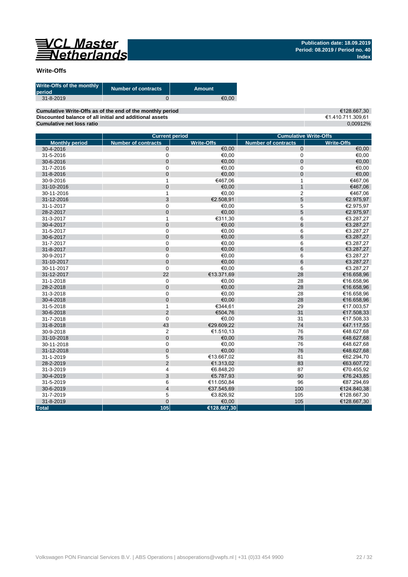

## **Write-Offs**

| Write-Offs of the monthly<br>period | <b>Number of contracts</b> | Amount |
|-------------------------------------|----------------------------|--------|
| $31 - 8 - 2019$                     |                            | €0.00  |

**Cumulative Write-Offs as of the end of the monthly period Discounted balance of all initial and additional assets Cumulative net loss ratio**

€128.667,30 €1.410.711.309,61 0,00912%

|                       | <b>Current period</b>      |                   | <b>Cumulative Write-Offs</b> |                   |  |  |  |
|-----------------------|----------------------------|-------------------|------------------------------|-------------------|--|--|--|
| <b>Monthly period</b> | <b>Number of contracts</b> | <b>Write-Offs</b> | <b>Number of contracts</b>   | <b>Write-Offs</b> |  |  |  |
| 30-4-2016             | $\mathbf{0}$               | €0,00             | $\mathbf{0}$                 | €0,00             |  |  |  |
| 31-5-2016             | $\mathbf 0$                | €0,00             | 0                            | €0,00             |  |  |  |
| 30-6-2016             | $\mathbf 0$                | €0,00             | $\overline{0}$               | €0,00             |  |  |  |
| 31-7-2016             | $\pmb{0}$                  | €0,00             | 0                            | €0,00             |  |  |  |
| 31-8-2016             | $\mathbf 0$                | €0,00             | $\mathbf 0$                  | €0,00             |  |  |  |
| 30-9-2016             | $\mathbf{1}$               | €467.06           | $\mathbf{1}$                 | €467.06           |  |  |  |
| 31-10-2016            | $\mathbf 0$                | €0,00             | $\mathbf{1}$                 | €467,06           |  |  |  |
| 30-11-2016            | $\mathbf{1}$               | €0,00             | $\overline{2}$               | €467,06           |  |  |  |
| 31-12-2016            | 3                          | €2.508,91         | $\sqrt{5}$                   | €2.975,97         |  |  |  |
| 31-1-2017             | $\mathbf 0$                | €0,00             | 5                            | €2.975,97         |  |  |  |
| 28-2-2017             | $\mathbf 0$                | €0,00             | 5                            | €2.975,97         |  |  |  |
| 31-3-2017             | $\mathbf{1}$               | €311,30           | 6                            | €3.287,27         |  |  |  |
| 30-4-2017             | $\overline{0}$             | €0,00             | 6                            | €3.287,27         |  |  |  |
| 31-5-2017             | $\mathbf 0$                | €0,00             | 6                            | €3.287,27         |  |  |  |
| 30-6-2017             | $\mathbf 0$                | €0,00             | 6                            | €3.287,27         |  |  |  |
| 31-7-2017             | $\mathbf 0$                | €0.00             | 6                            | €3.287,27         |  |  |  |
| 31-8-2017             | $\overline{0}$             | €0,00             | 6                            | €3.287,27         |  |  |  |
| 30-9-2017             | $\mathbf 0$                | €0,00             | 6                            | €3.287,27         |  |  |  |
| 31-10-2017            | $\overline{0}$             | €0,00             | 6                            | €3.287,27         |  |  |  |
| 30-11-2017            | $\mathbf 0$                | €0,00             | 6                            | €3.287,27         |  |  |  |
| 31-12-2017            | 22                         | €13.371,69        | 28                           | €16.658,96        |  |  |  |
| 31-1-2018             | $\mathbf 0$                | €0,00             | 28                           | €16.658,96        |  |  |  |
| 28-2-2018             | $\mathbf 0$                | €0,00             | 28                           | €16.658,96        |  |  |  |
| 31-3-2018             | $\mathbf 0$                | €0,00             | 28                           | €16.658,96        |  |  |  |
| 30-4-2018             | $\mathbf 0$                | €0,00             | 28                           | €16.658,96        |  |  |  |
| 31-5-2018             | $\mathbf{1}$               | €344.61           | 29                           | €17.003,57        |  |  |  |
| 30-6-2018             | $\overline{2}$             | €504,76           | 31                           | €17.508,33        |  |  |  |
| 31-7-2018             | $\mathbf 0$                | €0,00             | 31                           | €17.508,33        |  |  |  |
| 31-8-2018             | 43                         | €29.609,22        | 74                           | €47.117,55        |  |  |  |
| 30-9-2018             | $\overline{2}$             | €1.510,13         | 76                           | €48.627,68        |  |  |  |
| 31-10-2018            | $\mathbf 0$                | €0.00             | 76                           | €48.627,68        |  |  |  |
| 30-11-2018            | $\mathbf 0$                | €0,00             | 76                           | €48.627,68        |  |  |  |
| 31-12-2018            | $\mathsf 0$                | €0,00             | 76                           | €48.627,68        |  |  |  |
| 31-1-2019             | 5                          | €13.667,02        | 81                           | €62.294,70        |  |  |  |
| 28-2-2019             | $\overline{2}$             | €1.313,02         | 83                           | €63.607,72        |  |  |  |
| 31-3-2019             | $\overline{4}$             | €6.848,20         | 87                           | €70.455,92        |  |  |  |
| 30-4-2019             | 3                          | €5.787,93         | 90                           | €76.243,85        |  |  |  |
| 31-5-2019             | 6                          | €11.050.84        | 96                           | €87.294.69        |  |  |  |
| 30-6-2019             | $\overline{4}$             | €37.545,69        | 100                          | €124.840,38       |  |  |  |
| 31-7-2019             | 5                          | €3.826,92         | 105                          | €128.667,30       |  |  |  |
| 31-8-2019             | $\overline{0}$             | €0.00             | 105                          | €128.667,30       |  |  |  |
| <b>Total</b>          | 105                        | €128.667,30       |                              |                   |  |  |  |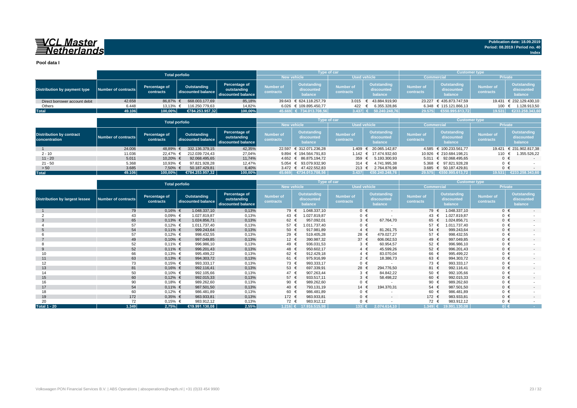## VCL Master<br>ENetherlands

**Pool data I**

|                               |                     |                            | <b>Total porfolio</b>             |                                                    |                                    | <b>Type of car</b>                   |                        |                                      | <b>Customer type</b>          |                                             |                               |                                      |
|-------------------------------|---------------------|----------------------------|-----------------------------------|----------------------------------------------------|------------------------------------|--------------------------------------|------------------------|--------------------------------------|-------------------------------|---------------------------------------------|-------------------------------|--------------------------------------|
|                               |                     |                            |                                   |                                                    | <b>Used vehicle</b><br>New vehicle |                                      | <b>Commercial</b>      |                                      | <b>Private</b>                |                                             |                               |                                      |
| Distribution by payment type  | Number of contracts | Percentage of<br>contracts | Outstanding<br>discounted balance | Percentage of<br>outstanding<br>discounted balance |                                    | Outstanding<br>discounted<br>balance | Number of<br>contracts | Outstanding<br>discounted<br>balance | <b>Number of</b><br>contracts | <b>Outstanding</b><br>discounted<br>balance | <b>Number of</b><br>contracts | Outstanding<br>discounted<br>balance |
| Direct borrower account debit | 42.658              | 86.87% €                   | 668.003.177.69                    | 85,18%                                             |                                    | 39.643 € 624.118.257.79              |                        | 3.015 € 43.884.919.90                |                               | 23.227 € 435.873.747.59                     |                               | 19.431 € 232.129.430,10              |
| Others                        | 6.448               | $13.13%$ €                 | 116.250.779.63                    | 14,82%                                             |                                    | 6.026 € 109.895.450,77               | 422                    | 6.355.328,86                         |                               | $6.348 \text{ } \in 115.121.866,13$         | 100                           | 1.128.913,50                         |
| <b>Total</b>                  | 49.106              | 100,00%                    | €784.253.957.32                   | 100,00%                                            |                                    | 45.669 € 734.013.708,56              | $3.437$ €              | 50.240.248.76                        | 29.575                        | €550.995.613.72                             | 19.531                        | €233.258.343,60                      |

|                                                  |                     |                            | <b>Total porfolio</b>             |                                                    |                                           | <b>Type of car</b>                   |                               |                                      | <b>Customer type</b>          |                                       |                               |                                      |
|--------------------------------------------------|---------------------|----------------------------|-----------------------------------|----------------------------------------------------|-------------------------------------------|--------------------------------------|-------------------------------|--------------------------------------|-------------------------------|---------------------------------------|-------------------------------|--------------------------------------|
|                                                  |                     |                            |                                   |                                                    | <b>New vehicle</b><br><b>Used vehicle</b> |                                      |                               |                                      |                               | <b>Commercial</b>                     | <b>Private</b>                |                                      |
| <b>Distribution by contract</b><br>concentration | Number of contracts | Percentage of<br>contracts | Outstanding<br>discounted balance | Percentage of<br>outstanding<br>discounted balance | <b>Number of</b><br>contracts             | Outstanding<br>discounted<br>balance | <b>Number of</b><br>contracts | Outstanding<br>discounted<br>balance | <b>Number of</b><br>contracts | Outstanding<br>discounted<br>balance  | <b>Number of</b><br>contracts | Outstanding<br>discounted<br>balance |
|                                                  | 24.006              | 48,89%                     | 332.136.379.15                    | 42,35%                                             | 22.597                                    | € 312.071.236.28                     | 1.409                         | € 20.065.142.87                      |                               | 4.585 € 100.233.561.77                | 19.421                        | € 231.902.817,38                     |
| $2 - 10$                                         | 11.036              | 22.47%                     | 212.039.724.43                    | 27,04%                                             |                                           | 9.894 € 194.564.791.83               |                               | 1.142 € 17.474.932.60                |                               | 10.926 € 210.684.198.21               | 110 €                         | 1.355.526.22                         |
| $11 - 20$                                        | 5.011               | 10.20% €                   | 92.068.495.65                     | 11,74%                                             |                                           | 4.652 € 86.875.194.72                | 359 $\epsilon$                | 5.193.300.93                         |                               | $5.011 \quad \in \quad 92.068.495.65$ | $0 \in$                       | $-$                                  |
| $21 - 50$                                        | 5.368               | 10,93% €                   | 97.821.928.28                     | 12,47%                                             |                                           | 5.054 € 93.079.932.90                | 314 €                         | 4.741.995.38                         |                               | 5.368 € 97.821.928.28                 | $0 \in$                       |                                      |
| > 50                                             | 3.685               | 7,50% €                    | 50.187.429,81                     | 6,40%                                              |                                           | 3.472 € 47.422.552.83                | 213 €                         | 2.764.876.98                         |                               | 3.685 € 50.187.429,81                 | $0 \in$                       |                                      |
| <b>Total</b>                                     | 49.106              | $100.00\%$                 | €784.253.957.32                   | 100,00%                                            | 45.669                                    | $\sqrt{5734.013.708.56}$             | 3.437                         | €50.240.248.76                       |                               | 29.575 €550.995.613.72                | 19.531                        | €233.258.343.60                      |

|                                       |                            |                            | <b>Total porfolio</b>             |                                                    |                               |                                      | Type of car                   |                                      | <b>Customer type</b>          |                                             |                               |                                             |
|---------------------------------------|----------------------------|----------------------------|-----------------------------------|----------------------------------------------------|-------------------------------|--------------------------------------|-------------------------------|--------------------------------------|-------------------------------|---------------------------------------------|-------------------------------|---------------------------------------------|
|                                       |                            |                            |                                   |                                                    | <b>New vehicle</b>            |                                      | <b>Used vehicle</b>           |                                      | <b>Commercial</b>             |                                             | Private                       |                                             |
| <b>Distribution by largest lessee</b> | <b>Number of contracts</b> | Percentage of<br>contracts | Outstanding<br>discounted balance | Percentage of<br>outstanding<br>discounted balance | <b>Number of</b><br>contracts | Outstanding<br>discounted<br>balance | <b>Number of</b><br>contracts | Outstanding<br>discounted<br>balance | <b>Number of</b><br>contracts | <b>Outstanding</b><br>discounted<br>balance | <b>Number of</b><br>contracts | <b>Outstanding</b><br>discounted<br>balance |
|                                       | 79                         | $0,16%$ €                  | 1.048.337,10                      | 0,13%                                              | 79 €                          | 1.048.337,10                         | $0 \in$                       | $\sim$                               | 79 €                          | 1.048.337,10                                | $0 \in$                       | $\sim$                                      |
|                                       | 43                         | $0,09%$ €                  | 1.027.819,87                      | 0,13%                                              | 43                            | 1.027.819,87                         | $0 \in$                       |                                      | 43 €                          | 1.027.819,87                                | $0 \in$                       |                                             |
| -3                                    | 65                         | $0,13%$ €                  | 1.024.856,71                      | 0,13%                                              | 62 $\epsilon$                 | 957.092,01                           | $3 \in$                       | 67.764,70                            | 65 €                          | 1.024.856,71                                | $0 \in$                       | $\sim$                                      |
|                                       | 57                         | $0,12%$ €                  | 1.011.737,40                      | 0,13%                                              | 57 €                          | 1.011.737,40                         | $0 \in$                       |                                      | 57 €                          | 1.011.737,40                                | $0 \in$                       |                                             |
|                                       | 54                         | $0,11\%$ €                 | 999.243,64                        | 0,13%                                              | 50 $\epsilon$                 | 917.981,89                           | $4 \in$                       | 81.261,75                            | $54 \in$                      | 999.243,64                                  | $0 \in$                       | $\sim$                                      |
|                                       | 57                         | $0,12%$ €                  | 998.432,55                        | 0,13%                                              | 29 €                          | 519.405,28                           | 28 $\epsilon$                 | 479.027,27                           | 57 €                          | 998.432,55                                  | $0 \in$                       |                                             |
|                                       | 49                         | $0,10%$ €                  | 997.049,85                        | 0,13%                                              | 12 $\epsilon$                 | 390.987,32                           | 37 $\epsilon$                 | 606.062,53                           | 49 €                          | 997.049,85                                  | $0 \in$                       | $\overline{\phantom{a}}$                    |
|                                       | 52                         | $0,11%$ €                  | 996.986,10                        | 0,13%                                              | 49 €                          | 936.031,53                           | $3 \in$                       | 60.954,57                            | 52 €                          | 996.986,10                                  | $0 \in$                       |                                             |
| 9                                     | 52                         | $0,11\%$ €                 | 996.201,43                        | 0,13%                                              | 48 €                          | 950.602,17                           | $4 \in$                       | 45.599,26                            | $52 \in$                      | 996.201,43                                  | $0 \in$                       | $\sim$                                      |
| 10                                    | 66                         | $0,13%$ €                  | 995.499,22                        | 0,13%                                              | 62 €                          | 912.429,18                           | $4 \in$                       | 83.070,04                            | 66 €                          | 995.499,22                                  | $0 \in$                       |                                             |
| 11                                    | 63                         | $0,13%$ €                  | 994.303,72                        | 0,13%                                              | 61 €                          | 975.916,99                           | $2 \in$                       | 18.386,73                            | 63 €                          | 994.303,72                                  | $0 \in$                       | $\overline{\phantom{a}}$                    |
| 12                                    | 73                         | $0,15%$ €                  | 993.333,17                        | 0,13%                                              | 73 €                          | 993.333,17                           | $0 \in$                       |                                      | 73 €                          | 993.333,17                                  | $0 \in$                       |                                             |
| 13                                    | 81                         | $0,16%$ €                  | 992.116,41                        | 0,13%                                              | 53 $\epsilon$                 | 697.339,91                           | 28 €                          | 294.776,50                           | 81 €                          | 992.116.41                                  | $0 \in$                       | $\sim$                                      |
| 14                                    | 50                         | $0,10%$ €                  | 992.105,66                        | 0,13%                                              | 47 €                          | 907.263,44                           | $3 \in$                       | 84.842.22                            | 50 <sub>0</sub>               | 992.105,66                                  | $0 \in$                       |                                             |
| 15                                    | 60                         | $0,12%$ €                  | 992.015,33                        | 0,13%                                              | 57 €                          | 933.517,11                           | $3 \in$                       | 58.498,22                            | 60 €                          | 992.015,33                                  | $0 \in$                       | $\sim$                                      |
| 16                                    | 90                         | $0,18%$ €                  | 989.262,60                        | 0,13%                                              | 90 €                          | 989.262,60                           | $0 \in$                       |                                      | 90 €                          | 989.262,60                                  | $0 \in$                       |                                             |
| 17                                    | 54                         | $0,11\%$ €                 | 987.501,50                        | 0,13%                                              | 40 €                          | 793.131,19                           | 14 €                          | 194.370,31                           | 54 €                          | 987.501,50                                  | $0 \in$                       | $\sim$                                      |
| 18                                    | 60                         | $0,12%$ €                  | 986.481,89                        | 0,13%                                              | 60 €                          | 986.481,89                           | $0 \in$                       |                                      | 60 €                          | 986.481.89                                  | $0 \in$                       |                                             |
| 19                                    | 172                        | $0,35%$ €                  | 983.933,81                        | 0,13%                                              | 172 €                         | 983.933,81                           | $0 \in$                       | $\sim$                               | 172 €                         | 983.933,81                                  | $0 \in$                       | $\overline{a}$                              |
| 20                                    | 72                         | $0,15%$ €                  | 983.912,12                        | 0,13%                                              | 72 €                          | 983.912,12                           | $0 \in$                       |                                      | 72 €                          | 983.912,12                                  | $0 \in$                       |                                             |
| <b>Total 1 - 20</b>                   | 1.349                      | 2,75%                      | €19.991.130,08                    | 2,55%                                              |                               | $1.216$ € 17.916.515,98              | 133 I€                        | 2.074.614.10                         |                               | $1.349 \in 19.991.130,08$                   | $0 \in$                       | <b>Contract</b>                             |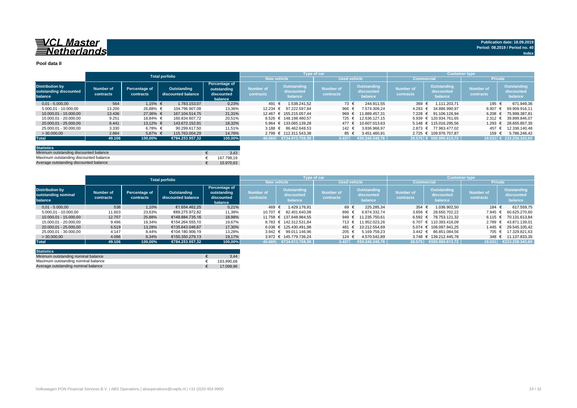#### **Pool data II**

|                                                             |                        |                            | <b>Total porfolio</b>             |                                                       |                               |                                      | <b>Type of car</b>            |                                      | <b>Customer type</b>   |                                             |                                      |                                             |
|-------------------------------------------------------------|------------------------|----------------------------|-----------------------------------|-------------------------------------------------------|-------------------------------|--------------------------------------|-------------------------------|--------------------------------------|------------------------|---------------------------------------------|--------------------------------------|---------------------------------------------|
|                                                             |                        |                            |                                   |                                                       |                               | <b>New vehicle</b>                   |                               | <b>Used vehicle</b>                  |                        | <b>Commercial</b>                           | <b>Private</b>                       |                                             |
| <b>Distribution by</b><br>outstanding discounted<br>balance | Number of<br>contracts | Percentage of<br>contracts | Outstanding<br>discounted balance | Percentage of<br>outstanding<br>discounted<br>balance | <b>Number of</b><br>contracts | Outstanding<br>discounted<br>balance | <b>Number of</b><br>contracts | Outstanding<br>discounted<br>balance | Number of<br>contracts | <b>Outstanding</b><br>discounted<br>balance | <b>Number of</b><br><b>contracts</b> | <b>Outstanding</b><br>discounted<br>balance |
| $0.01 - 5.000.00$                                           | 564                    | 1.15% €                    | 1.783.153.07                      | 0,23%                                                 | 491                           | 1.538.241.52                         | 73 €                          | 244.911.55                           | 369 €                  | 1.111.203.71                                | 195 €                                | 671.949,36                                  |
| 5.000,01 - 10.000,00                                        | 13.200                 | 26,88% €                   | 104.796.907.08                    | 13,36%                                                | 12.234 €                      | 97.222.597.84                        | 966 €                         | 7.574.309.24                         |                        | 4.293 € 34.886.990.97                       | 8.907                                | 69.909.916.11                               |
| 10.000.01 - 15.000.00                                       | 13.436                 | 27.36% €                   | 167.104.514.75                    | 21,31%                                                |                               | 12.467 € 155.215.057.44              | 969                           | 11.889.457.31                        | 7.228 €                | 91.106.126.94                               | 6.208                                | 75.998.387.81                               |
| 15.000.01 - 20.000.00                                       | 9.251                  | 18.84% €                   | 160.834.607.72                    | 20,51%                                                |                               | 8.526 € 148.198.480.57               | 725 €                         | 12.636.127.15                        |                        | 6.939 € 120.934.761.65                      | 2.312                                | 39.899.846.07                               |
| 20.000.01 - 25.000.00                                       | 6.441                  | 13.12% €                   | 143.672.152.91                    | 18,32%                                                |                               | 5.964 € 133.065.139.28               | 477                           | 10.607.013.63                        |                        | 5.148 € 115.016.295.56                      | 1.293                                | 28.655.857,35                               |
| 25.000.01 - 30.000.00                                       | 3.330                  | 6,78% €                    | 90.299.617.50                     | 11,51%                                                |                               | 3.188 € 86.462.648.53                | 142 €                         | 3.836.968.97                         |                        | 2.873 € 77.963.477.02                       | 457                                  | 12.336.140.48                               |
| > 30,000,00                                                 | 2.884                  | 5,87% €                    | 115.763.004.29                    | 14,76%                                                |                               | 2.799 € 112.311.543.38               | 85 €                          | 3.451.460.91                         |                        | 2.725 € 109.976.757.87                      | 159                                  | 5.786.246.42                                |
| <b>Total</b>                                                | 49.106                 | 100,00%                    | €784.253.957.32                   | 100,00%                                               |                               | 45.669   €734.013.708,56             | 3.437                         | €50.240.248.76                       |                        | 29.575 € 550.995.613,72                     |                                      | 19.531 € 233.258.343,60                     |
|                                                             |                        |                            |                                   |                                                       |                               |                                      |                               |                                      |                        |                                             |                                      |                                             |

| <b>Statistics</b>                      |            |
|----------------------------------------|------------|
| Minimum outstanding discounted balance | 3.43       |
| Maximum outstanding discounted balance | 167.798.19 |
| Average outstanding discounted balance | 15.970.63  |

|                                                          |                        |                            | <b>Total porfolio</b>             |                                                              |                        | <b>Type of car</b>                   |                               |                                      | <b>Customer type</b>          |                                      |                               |                                      |
|----------------------------------------------------------|------------------------|----------------------------|-----------------------------------|--------------------------------------------------------------|------------------------|--------------------------------------|-------------------------------|--------------------------------------|-------------------------------|--------------------------------------|-------------------------------|--------------------------------------|
|                                                          |                        |                            |                                   |                                                              | <b>New vehicle</b>     |                                      |                               | <b>Used vehicle</b>                  | <b>Commercial</b>             |                                      | <b>Private</b>                |                                      |
| <b>Distribution by</b><br>outstanding nominal<br>balance | Number of<br>contracts | Percentage of<br>contracts | Outstanding<br>discounted balance | <b>Percentage of</b><br>outstanding<br>discounted<br>balance | Number of<br>contracts | Outstanding<br>discounted<br>balance | <b>Number of</b><br>contracts | Outstanding<br>discounted<br>balance | <b>Number of</b><br>contracts | Outstanding<br>discounted<br>balance | <b>Number of</b><br>contracts | Outstanding<br>discounted<br>balance |
| $0.01 - 5.000.00$                                        | 538                    | 1.10%                      | €1.654.462.25                     | 0.21%                                                        | 469 €                  | 1.429.176.91                         | 69 €                          | 225.285.34                           | 354 $\epsilon$                | 1.036.902.50                         | 184 €                         | 617.559.75                           |
| 5.000.01 - 10.000.00                                     | 11.603                 | 23,63%                     | €89.275.972.82                    | 11.38%                                                       | 10.707                 | 82.401.640.08<br>€                   | 896                           | 6.874.332.74                         | $3.658 \in$                   | 28.650.702.22                        | 7.945 €                       | 60.625.270.60                        |
| 10.000.01 - 15.000.00                                    | 12.707                 | 25,88%                     | €148.884.735.16                   | 18,98%                                                       |                        | 11.758 € 137.648.984.55              | 949                           | 11.235.750.61<br>€                   |                               | $6.592 \in 78.753.121.32$            | 6.115 €                       | 70.131.613.84                        |
| 15.000.01 - 20.000.00                                    | 9.496                  | 19.34%                     | €154.264.555.10                   | 19.67%                                                       |                        | 8.783 € 142.312.531.84               | 713 €                         | 11.952.023.26                        |                               | 6.707 € 110.393.416.09               | $2.789$ €                     | 43.871.139.01                        |
| 20.000.01 - 25.000.00                                    | 6.519                  | 13.28%                     | €135.643.046.67                   | 17.30%                                                       |                        | 6.038 € 125.430.491.98               | 481 €                         | 10.212.554.69                        |                               | 5.074 € 106.097.941.25               | $1.445 \in$                   | 29.545.105.42                        |
| 25.000.01 - 30.000.00                                    | 4.147                  | 8,44%                      | €104.180.906,19                   | 13,28%                                                       |                        | 3.942 € 99.011.146.96                | 205 €                         | 5.169.759.23                         |                               | 3.442 € 86.851.084.56                | 705 €                         | 17.329.821.63                        |
| >30.000.00                                               | 4.096                  | 8,34%                      | €150.350.279.13                   | 19.17%                                                       |                        | 3.972 € 145.779.736.24               | 124 €                         | 4.570.542.89                         |                               | 3.748 € 139.212.445.78               | 348 $\epsilon$                | 11.137.833.35                        |
| <b>Total</b>                                             | 49.106                 | 100.00%                    | €784.253.957.32                   | 100.00%                                                      | 45.669                 | €734.013.708,56                      | 3.437                         | 650.240.248,76                       | 29.575                        | €550.995.613,72                      | 19.531                        | €233.258.343,60                      |

| <b>Statistics</b>                   |            |
|-------------------------------------|------------|
| Minimum outstanding nominal balance | 3.44       |
| Maximum outstanding nominal balance | 183.890.68 |
| Average outstanding nominal balance | 17.099.96  |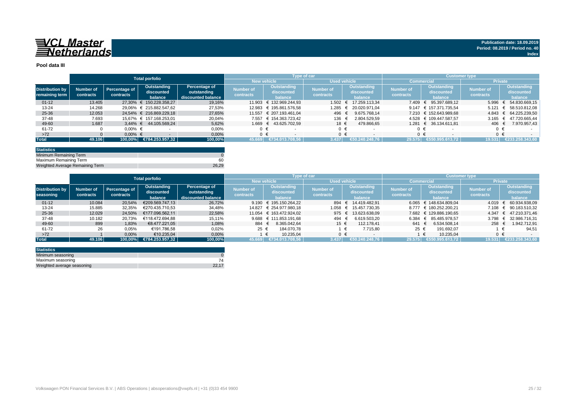

#### **Pool data III**

|                                          |                        |                            | <b>Total porfolio</b>                |                                                    |                               |                                             | Type of car                   |                                             | <b>Customer type</b>          |                                      |                               |                                      |
|------------------------------------------|------------------------|----------------------------|--------------------------------------|----------------------------------------------------|-------------------------------|---------------------------------------------|-------------------------------|---------------------------------------------|-------------------------------|--------------------------------------|-------------------------------|--------------------------------------|
|                                          |                        |                            |                                      |                                                    | <b>New vehicle</b>            |                                             | <b>Used vehicle</b>           |                                             | <b>Commercial</b>             |                                      | <b>Private</b>                |                                      |
| <b>Distribution by</b><br>remaining term | Number of<br>contracts | Percentage of<br>contracts | Outstanding<br>discounted<br>balance | Percentage of<br>outstanding<br>discounted balance | <b>Number of</b><br>contracts | <b>Outstanding</b><br>discounted<br>balance | <b>Number of</b><br>contracts | <b>Outstanding</b><br>discounted<br>balance | <b>Number of</b><br>contracts | Outstanding<br>discounted<br>balance | <b>Number of</b><br>contracts | Outstanding<br>discounted<br>balance |
| $01 - 12$                                | 13.405                 |                            | 27.30% € 150.228.358.27              | 19,16%                                             |                               | 11.903 € 132.969.244.93                     | 1.502                         | € 17.259.113.34                             | 7.409                         | 95.397.689.12<br>$\epsilon$          | 5.996                         | 54.830.669.15                        |
| $13 - 24$                                | 14.268                 |                            | 29.06% € 215.882.547.62              | 27,53%                                             |                               | 12.983 € 195.861.576.58                     | 1.285                         | 20.020.971.04                               |                               | 9.147 € 157.371.735.54               | 5.121                         | 58.510.812.08                        |
| 25-36                                    | 12.053                 |                            | 24.54% € 216.869.229.18              | 27.65%                                             |                               | 11.557 € 207.193.461.04                     | 496                           | 9.675.768.14                                |                               | 7.210 € 152.643.989.68               | $4.843 \in$                   | 64.225.239.50                        |
| 37-48                                    | 7.693                  |                            | 15.67% € 157.168.253.01              | 20,04%                                             |                               | 7.557 € 154.363.723.42                      | 136                           | 2.804.529.59                                |                               | 4.528 € 109.447.587.57               | 3.165                         | 47.720.665.44                        |
| 49-60                                    | 1.687                  |                            | 3.44% € 44.105.569.24                | 5.62%                                              |                               | 1.669 € 43.625.702.59                       | 18 €                          | 479.866.65                                  |                               | 1.281 € 36.134.611.81                | 406 €                         | 7.970.957.43                         |
| 61-72                                    |                        | $0.00\%$ €                 |                                      | 0,00%                                              |                               |                                             | $0 \in$                       |                                             | 0 €                           |                                      |                               |                                      |
| $>72$                                    |                        | $0.00\%$ €                 |                                      | 0,00%                                              |                               |                                             | $0 \in$                       |                                             |                               | $0 \in$                              | $0 \in$                       |                                      |
| <b>Total</b>                             | 49.106                 |                            | 100,00% €784.253.957,32              | 100,00%                                            | 45.669                        | €734.013.708.56                             | 3.437                         | €50.240.248.76                              | 29.575                        | €550.995.613.72                      | 19.531                        | €233.258.343,60                      |

| <b>Statistics</b>               |       |
|---------------------------------|-------|
| Minimum Remaining Term          |       |
| Maximum Remaining Term          | 60    |
| Weighted Average Remaining Term | 26.29 |

|                        |           |               | <b>Total porfolio</b> |                    |           |                            | Type of car      |                    | / Customer type  |                            |                |                             |
|------------------------|-----------|---------------|-----------------------|--------------------|-----------|----------------------------|------------------|--------------------|------------------|----------------------------|----------------|-----------------------------|
|                        |           |               |                       |                    |           | <b>New vehicle</b>         | Used vehicle     |                    |                  | Commercial                 | <b>Private</b> |                             |
|                        |           |               | Outstanding           | Percentage of      | Number of | Outstanding                | <b>Number of</b> | Outstanding        | <b>Number of</b> | Outstanding                |                | Outstanding                 |
| <b>Distribution by</b> | Number of | Percentage of | discounted            | outstanding        |           | discounted                 |                  | discounted         |                  | discounted                 | Number of      | discounted                  |
| seasoning              | contracts | contracts     | balance               | discounted balance | contracts | balance                    | contracts        | balance            | contracts        | balance                    | contracts      | balance                     |
| $01 - 12$              | 10.084    | 20.54%        | €209.569.747,13       | 26,72%             |           | 9.190 $\in$ 195.150.264.22 | 894 €            | 14.419.482.91      |                  | $6.065 \in 148.634.809.04$ | 4.019          | 60.934.938.09<br>$\epsilon$ |
| $13 - 24$              | 15.885    | 32,35%        | €270.435.710.53       | 34,48%             |           | 14.827 € 254.977.980.18    | 1.058            | 15.457.730.35<br>€ |                  | 8.777 € 180.252.200.21     |                | 7.108 € 90.183.510.32       |
| 25-36                  | 12.029    | 24.50%        | €177.096.562.11       | 22,58%             |           | 11.054 € 163.472.924.02    | 975 €            | 13.623.638.09      |                  | 7.682 € 129.886.190.65     |                | 4.347 € 47.210.371.46       |
| 37-48                  | 10.182    | 20.73%        | €118.472.694.88       | 15,11%             |           | 9.688 € 111.853.191,68     | 494              | 6.619.503.20       | 6.384            | € 85.485.978.57            | 3.798          | € 32.986.716.31             |
| 49-60                  | 899       | 1,83%         | €8,477,221,05         | 1,08%              | 884 €     | 8.365.042.64               | $15 \epsilon$    | 112.178.41         | 641              | 6.534.508.14               | 258 $\epsilon$ | 1.942.712,91                |
| 61-72                  | 26        | 0,05%         | €191.786,58           | 0,02%              | 25 €      | 184.070.78                 |                  | 7.715.80           | 25 €             | 191.692.07                 |                | 94,51                       |
| $>72$                  |           | 0,00%         | €10.235.04            | 0,00%              |           | 10.235.04                  | ∩ €              |                    |                  | 10.235.04                  |                |                             |
| <b>Total</b>           | 49.106    | 100.00%       | €784.253.957.32       | 100,00%            | 45.669    | €734.013.708.56            | 3.437            | €50.240.248.76     | 29.575           | €550.995.613.72            | 19.531         | €233.258.343.60             |

| <b>Statistics</b>          |       |
|----------------------------|-------|
| Minimum seasoning          |       |
| Maximum seasoning          |       |
| Weighted average seasoning | 22.17 |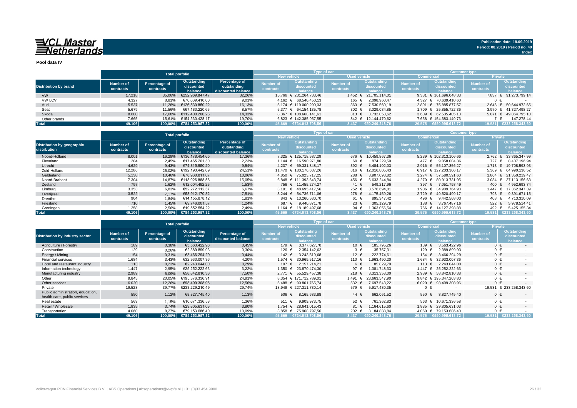**Pool data IV**

|                              |           |               | <b>Total porfolio</b>   |                    |                  | Type of car               |                     |                       | <b>Customer type</b> |                            |                  |                          |  |  |
|------------------------------|-----------|---------------|-------------------------|--------------------|------------------|---------------------------|---------------------|-----------------------|----------------------|----------------------------|------------------|--------------------------|--|--|
|                              |           |               |                         |                    |                  | <b>New vehicle</b>        | <b>Used vehicle</b> |                       | Commercial           |                            | <b>Private</b>   |                          |  |  |
|                              | Number of | Percentage of | Outstanding             | Percentage of      | <b>Number of</b> | Outstanding               |                     | Outstanding           | <b>Number of</b>     | Outstanding                | <b>Number of</b> | Outstanding              |  |  |
| <b>Distribution by brand</b> |           |               | discounted              | outstanding        | <b>contracts</b> | discounted                | <b>Number of</b>    | discounted            |                      | discounted                 | contracts        | discounted               |  |  |
|                              | contracts | contracts     | balance.                | discounted balance |                  | halance                   | contracts           | halance               | contracts            | halance                    |                  | balance                  |  |  |
| <b>VW</b>                    | 17.218    | 35.06%        | €252.969.847.47         | 32,26%             |                  | 15.766 € 231.264.733.46   |                     | 1.452 € 21.705.114.01 |                      | 9.381 $\in$ 161.696.048.33 | 7.837            | $\epsilon$ 91.273.799.14 |  |  |
| <b>VW LCV</b>                | 4.327     | 8.81%         | €70.639.410.60          | 9,01%              |                  | 4.162 € 68.540.450.13     | 165 €               | 2.098.960.47          |                      | 4.327 € 70.639.410.60      | 0 €              |                          |  |  |
| Audi                         | 5.537     | 11.28%        | €126.530.850.22         | 16,13%             |                  | 5.174 € 119.000.290.03    | 363 $\epsilon$      | 7.530.560,19          |                      | 2.891 € 75.885.877.57      |                  | 2.646 € 50.644.972,65    |  |  |
| Seat                         | 5.679     | 11.56%        | €67.183.220.63          | 8,57%              |                  | $5.377 \in 64.154.135.78$ | 302 $\in$           | 3.029.084,85          |                      | 1.709 € 25.855.722.36      | 3.970            | € 41.327.498.27          |  |  |
| Skoda                        | 8.680     | 17.68%        | €112.400.200.23         | 14.33%             |                  | 8.367 € 108.668.141.61    | 313 $\epsilon$      | 3.732.058.62          |                      | $3.609 \in 62.535.405.13$  | 5.071            | € 49.864.795.10          |  |  |
| Other brands                 | 7.665     | 15.61%        | €154.530.428.17         | 19.70%             |                  | 6.823 € 142.385.957.55    |                     | 842 € 12.144.470.62   |                      | 7.658 € 154.383.149.73     |                  | 147.278.44               |  |  |
| <b>Total</b>                 | 49.106    |               | 100,00% €784.253.957,32 | 100,00%            |                  | 45.669 €734.013.708.56    | 3.437               | €50.240.248.76        |                      | 129.575 €550.995.613.72    | 19.531           | €233.258.343,60          |  |  |

|                                            |                        | <b>Total porfolio</b>      |                                      |                                                    |                               | Type of car                           |                               |                                             | <b>Customer type</b>                                                         |                        |                        |                                             |  |
|--------------------------------------------|------------------------|----------------------------|--------------------------------------|----------------------------------------------------|-------------------------------|---------------------------------------|-------------------------------|---------------------------------------------|------------------------------------------------------------------------------|------------------------|------------------------|---------------------------------------------|--|
|                                            |                        |                            |                                      |                                                    |                               | <b>New vehicle</b>                    | <b>Used vehicle</b>           |                                             |                                                                              | Commercial             | <b>Private</b>         |                                             |  |
| Distribution by geographic<br>distribution | Number of<br>contracts | Percentage of<br>contracts | Outstanding<br>discounted<br>balance | Percentage of<br>outstanding<br>discounted balance | <b>Number of</b><br>contracts | Outstanding<br>discounted<br>halance. | <b>Number of</b><br>contracts | <b>Outstanding</b><br>discounted<br>balance | Outstanding<br><b>Number of</b><br>discounted<br>contracts<br><b>balance</b> |                        | Number of<br>contracts | <b>Outstanding</b><br>discounted<br>balance |  |
| Noord-Holland                              | 8.001                  | 16.29%                     | €136.178.454.65                      | 17,36%                                             |                               | 7.325 € 125.718.587.29                | 676 €                         | 10.459.867.36                               |                                                                              | 5.239 € 102.313.106.66 | 2.762                  | 33.865.347,99                               |  |
| Flevoland                                  | 1.204                  | 2.45%                      | €17.465.201.30                       | 2,23%                                              |                               | 1.144 € 16.590.971.80                 | 60 €                          | 874.229.50                                  | 477 €                                                                        | 9.058.004.36           | 727 €                  | 8.407.196.94                                |  |
| Utrecht                                    | 4.629                  | 9,43%                      | €74.815.950.20                       | 9,54%                                              |                               | 4.237 € 69.331.848.17                 | 392 $\epsilon$                | 5.484.102.03                                |                                                                              | 2.916 € 55.107.356.27  | $1.713$ €              | 19.708.593.93                               |  |
| Zuid-Holland                               | 12.286                 | 25,02%                     | €192.193.442.69                      | 24,51%                                             |                               | 11.470 € 180.176.637.26               | 816 €                         | 12.016.805.43                               |                                                                              | 6.917 € 127.203.306.17 | 5.369                  | 64.990.136.52<br>$\epsilon$                 |  |
| Gelderland                                 | 5.138                  | 10.46%                     | €78.930.811.07                       | 10,06%                                             |                               | 4.850 € 75.023.717.25                 | 288 €                         | 3.907.093.82                                |                                                                              | 3.274 € 57.580.591.60  |                        | 1.864 € 21.350.219.47                       |  |
| Noord-Brabant                              | 7.304                  | 14.87%                     | €118.026.888.58                      | 15,05%                                             |                               | 6.848 € 111.393.643.74                | 456 €                         | 6.633.244.84                                |                                                                              | 4.270 € 80.913.731.95  | 3.034                  | € 37.113.156.63                             |  |
| Zeeland                                    | 797                    | 1,62%                      | €12.004.492.23                       | 1,53%                                              |                               | 756 € 11.455.274.27                   | 41 €                          | 549.217.96                                  | 397 $\epsilon$                                                               | 7.051.798.49           | 400 €                  | 4.952.693,74                                |  |
| Limburg                                    | 3.353                  | 6,83%                      | €52.272.112.37                       | 6,67%                                              |                               | 3.101 € 48.695.417.56                 | 252 €                         | 3.576.694.81                                | 1.906 €                                                                      | 34.909.764.98          | 1.447                  | 17.362.347.39                               |  |
| Overijssel                                 | 3.522                  | 7,17%                      | €58.912.170.32                       | 7,51%                                              |                               | 3.244 € 54.736.711.06                 | 278 €                         | 4.175.459.26                                | $2.729$ €                                                                    | 49.520.499.17          | 793 €                  | 9.391.671,15                                |  |
| Drenthe                                    | 904                    | 1.84%                      | €14.155.878.12                       | 1,81%                                              | 843 €                         | 13.260.530.70                         | 61 €                          | 895.347.42                                  | 496 €                                                                        | 9.442.568.03           | 408 €                  | 4.713.310,09                                |  |
| Friesland                                  | 710                    | 1.45%                      | €9.746.001.57                        | 1,24%                                              | 687 €                         | 9.440.871.78                          | 23 $\epsilon$                 | 305.129.79                                  | 188 €                                                                        | 3.767.487.16           | 522 €                  | 5.978.514.41                                |  |
| Groningen                                  | 1.258                  | 2,56%                      | €19.552.554,22                       | 2,49%                                              | 1.164 €                       | 18.189.497.68                         | 94 €                          | .363.056,54                                 | 766 €                                                                        | 14.127.398.88          | 492 €                  | 5.425.155,34                                |  |
| <b>Total</b>                               | 49.106                 | 100.00%                    | €784.253.957.32                      | 100,00%                                            |                               | 45.669 €734.013.708.56                | 3.437                         | €50.240.248.76                              |                                                                              | 29.575 €550.995.613.72 | 19.531                 | €233.258.343.60                             |  |

|                                                                   |                               | <b>Total porfolio</b>      |                                      |                                     |                                      |                                             | Type of car                   |                                             | <b>Customer type</b>          |                                             |                        |                                             |  |  |
|-------------------------------------------------------------------|-------------------------------|----------------------------|--------------------------------------|-------------------------------------|--------------------------------------|---------------------------------------------|-------------------------------|---------------------------------------------|-------------------------------|---------------------------------------------|------------------------|---------------------------------------------|--|--|
|                                                                   |                               |                            |                                      |                                     |                                      | <b>New vehicle</b>                          | <b>Used vehicle</b>           |                                             | <b>Commercia</b>              |                                             | <b>Private</b>         |                                             |  |  |
| <b>Distribution by industry sector</b>                            | <b>Number of</b><br>contracts | Percentage of<br>contracts | Outstanding<br>discounted<br>balance | Percentage of<br>discounted balance | <b>Number of</b><br><b>contracts</b> | <b>Outstanding</b><br>discounted<br>balance | <b>Number of</b><br>contracts | <b>Outstanding</b><br>discounted<br>balance | <b>Number of</b><br>contracts | <b>Outstanding</b><br>discounted<br>balance | Number of<br>contracts | <b>Outstanding</b><br>discounted<br>balance |  |  |
| Agriculture / Forestry                                            | 189                           | 0,38%                      | €3.563.422.96                        | 0,45%                               | 179 €                                | 3.377.627.70                                | 10 €                          | 185.795.26                                  | 189 €                         | 3.563.422.96                                | $0 \in$                |                                             |  |  |
| Construction                                                      | 129                           | 0,26%                      | €2.389.899,93                        | 0,30%                               | 126 €                                | 2.354.142.62                                | $3 \in$                       | 35.757.31                                   | 129                           | 2.389.899.93                                | $0 \in$                |                                             |  |  |
| Energy / Mining                                                   | 154                           | 0,31%                      | €3.466.294.29                        | 0.44%                               | $142 \epsilon$                       | 3.243.519.68                                | 12 €                          | 222.774.61                                  | 154 €                         | 3.466.294.29                                | $0 \in$                | $\sim$                                      |  |  |
| <b>Financial services</b>                                         | 1.684                         | 3,43%                      | €32.933.007.36                       | 4,20%                               | 1.574 €                              | 30.969.517.16                               | 110 €                         | .963.490.20                                 | 1.684 €                       | 32.933.007.36                               | $0 \in$                |                                             |  |  |
| Hotel and restaurant industry                                     | 113                           | 0,23%                      | €2.243.044.00                        | 0,29%                               | 107 €                                | 2.157.214.21                                | 6 €                           | 85.829,79                                   | 113 €                         | 2.243.044.00                                | $0 \in$                | $\sim$                                      |  |  |
| Information technology                                            | 1.447                         | 2,95%                      | €25.252.222.63                       | 3.22%                               | 1.350 €                              | 23.870.474.30                               | 97 €                          | .381.748.33                                 | 1.447 €                       | 25.252.222.63                               | $0 \in$                |                                             |  |  |
| Manufacturing industry                                            | 2.989                         | 6,09%                      | €58.842.810,38                       | 7,50%                               |                                      | 2.771 € 55.529.457.38                       | 218 €                         | 3.313.353,00                                | $2.989$ €                     | 58.842.810.38                               | $0 \in$                |                                             |  |  |
| Other                                                             | 9.845                         | 20,05%                     | €195.376.336.91                      | 24,91%                              |                                      | 8.354 € 171.712.789,01                      | 1.491                         | 23.663.547,90                               |                               | 9.842 € 195.347.203.80                      | $0 \in$                |                                             |  |  |
| Other services                                                    | 6.020                         | 12,26%                     | €98.499.308.96                       | 12.56%                              |                                      | 5.488 € 90.801.765.74                       | 532 $\epsilon$                | 7.697.543.22                                | 6.020 €                       | 98.499.308.96                               | $0 \in$                |                                             |  |  |
| Private                                                           | 19.528                        | 39,77%                     | €233.229.210.49                      | 29,74%                              |                                      | 18.949 € 227.311.730.14                     | 579 €                         | 5.917.480.35                                | $0 \in$                       |                                             | 19.531                 | € 233.258.343.60                            |  |  |
| Public administration, education,<br>health care, public services | 550                           | 1,12%                      | €8.827.745.40                        | 1,13%                               | 506 €                                | 8.165.683,88                                | 44 $\in$                      | 662.061,52                                  | 550 €                         | 8.827.745.40                                | $0 \in$                |                                             |  |  |
| Real estate                                                       | 563                           | 1,15%                      | €10.671.336.58                       | 1.36%                               | 511                                  | 9.909.973.75                                | 52 €                          | 761.362.83                                  | 563 €                         | 10.671.336.58                               | $0 \in$                |                                             |  |  |
| Retail / Wholesale                                                | 1.835                         | 3,74%                      | €29.805.631.03                       | 3,80%                               | 1.754 €                              | 28.641.015.43                               | 81 €                          | .164.615.60                                 | $1.835 \in$                   | 29.805.631.03                               | $0 \in$                | $\sim$                                      |  |  |
| Transportation                                                    | 4.060                         | 8.27%                      | €79.153.686,40                       | 10,09%                              |                                      | 3.858 € 75.968.797,56                       | 202 $\epsilon$                | 3.184.888,84                                | $4.060 \in$                   | 79.153.686,40                               | $0 \in$                |                                             |  |  |
| <b>Total</b>                                                      | 49.106                        | 100,00%                    | €784.253.957,32                      | 100,00%                             |                                      | 45.669 €734.013.708.56                      | 3.437                         | €50.240.248.76                              |                               | 29.575 €550.995.613.72                      | 19.531                 | €233.258.343.60                             |  |  |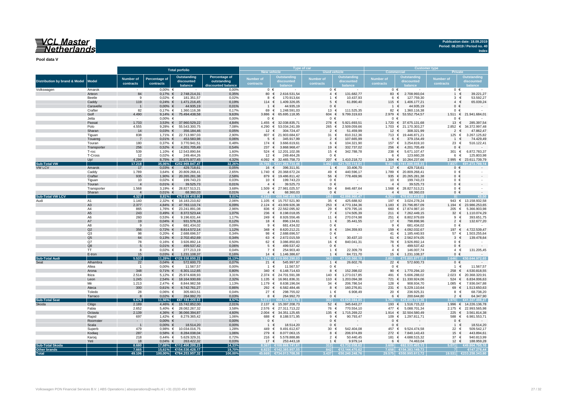**Publication date: 18.09.2019 Period: 08.2019 / Period no. 40 Index**

**Pool data V**

|                                          |                      |                               |                            |                                                |                                                    |                               |                                             | Type of car                   |                                          | <b>Customer type</b>          |                                     |                        |                                            |  |  |
|------------------------------------------|----------------------|-------------------------------|----------------------------|------------------------------------------------|----------------------------------------------------|-------------------------------|---------------------------------------------|-------------------------------|------------------------------------------|-------------------------------|-------------------------------------|------------------------|--------------------------------------------|--|--|
|                                          |                      |                               |                            | <b>Total porfolio</b>                          |                                                    | New vehicle                   |                                             | <b>Used vehicle</b>           |                                          | <b>Commercial</b>             |                                     | <b>Private</b>         |                                            |  |  |
| <b>Distribution by brand &amp; Model</b> | <b>Model</b>         | <b>Number of</b><br>contracts | Percentage of<br>contracts | <b>Outstanding</b><br>discounted<br>balance    | Percentage of<br>outstanding<br>discounted balance | <b>Number of</b><br>contracts | <b>Outstanding</b><br>discounted            | <b>Number of</b><br>contracts | <b>Outstanding</b><br>discounted         | <b>Number of</b><br>contracts | <b>Outstanding</b><br>discounted    | Number of<br>contracts | <b>Outstanding</b><br>discounted<br>alance |  |  |
| Volkswagen                               | Amarok               |                               | $0.00\%$ €                 |                                                | 0.00%                                              | $0 \in$                       |                                             | $0 \in$                       |                                          | $0 \in$                       |                                     | $0 \in$                |                                            |  |  |
|                                          | Arteon               | 84                            | $0,17%$ €                  | 2.748.214,31                                   | 0,35%                                              | 80 €                          | 2.616.531,54                                | $4 \in$                       | 131.682,77                               |                               | 83 € 2.708.993,04                   | $\overline{1}$         | 39.221,27<br>$\epsilon$                    |  |  |
|                                          | Beetle               | 9                             | $0.02\%$ €                 | 181.351,57                                     | 0,02%                                              | 8                             | 170.913.64<br>$\epsilon$                    | $1 \in$                       | 10.437,93                                | 6                             | €<br>127.759,30                     | 3                      | 53.592,27<br>€                             |  |  |
|                                          | Caddy                | 119                           | $0,24%$ €                  | 1.471.216,45                                   | 0,19%                                              | 114 $\in$                     | 1.409.326,05                                | $5 \in$                       | 61.890,40                                | 115 €                         | 1.406.177,21                        | $4 \in$                | 65.039,24                                  |  |  |
|                                          | Caravelle            | $\overline{1}$                | $0,00%$ €                  | 44.935,19                                      | 0,01%                                              | 1 €                           | 44.935,19                                   | $0 \in$                       | $\sim$                                   | $1 \in$                       | 44.935,19                           | $0 \in$                |                                            |  |  |
|                                          | Crafter              | 82                            | $0,17%$ €                  | 1.360.116,38                                   | 0,17%                                              | 69 €                          | 1.248.591,03                                | 13 €                          | 111.525,35                               | 82 €                          | 1.360.116,38                        | $0 \in$                |                                            |  |  |
|                                          | Golf<br>Jetta        | 4.490                         | $0,00%$ €                  | 9,14% € 75.494.438,58                          | 9,63%<br>0,00%                                     | 3.886 €<br>$0 \in$            | 65.695.118,95                               | 604 €<br>$0 \in$              | 9.799.319,63                             | $0 \in$                       | 2.979 € 53.552.754,57               | 1.511 €<br>$0 \in$     | 21.941.684,01                              |  |  |
|                                          | Passat               | 1.733                         |                            | 3,53% € 37.960.529,22                          | 4,84%                                              | $1.455 \in$                   | 32.038.835,71                               | 278 €                         | 5.921.693,51                             |                               | 1.720 € 37.675.131,68               | 13 €                   | 285.397,54                                 |  |  |
|                                          | Polo                 | 4.555                         |                            | 9,28% € 55.543.300,75                          | 7,08%                                              |                               | 4.290 € 53.034.241,09                       | 265 €                         | 2.509.059,66                             |                               | 1.703 € 21.170.303,27               | $2.852 \in$            | 34.372.997,48                              |  |  |
|                                          | Sharan               | 14                            | $0.03%$ €                  | 356.184,46                                     | 0,05%                                              | 12 €                          | 304.724,47                                  | $2 \in$                       | 51.459,99                                | 12 €                          | 308.321,99                          | 2                      | 47.862,47<br>€                             |  |  |
|                                          | Tiguan               | 838                           |                            | 1,71% € 22.713.997,03                          | 2,90%                                              |                               | 807 € 21.903.684,67                         | 31 $\epsilon$                 | 810.312,36                               |                               | 713 € 19.446.871,21                 | 125 €                  | 3.267.125,82                               |  |  |
|                                          | Touareg              | -7                            | $0,01\%$ €                 | 453.583,98                                     | 0,06%                                              | $5 \in$                       | 345.917,99                                  | $2 \in$                       | 107.665,99                               | $6 \in$                       | 379.154,49                          | $1 \in$                | 74.429,49                                  |  |  |
|                                          | Touran               | 180                           | $0,37%$ €                  | 3.770.941,51                                   | 0,48%                                              |                               | 174 € 3.666.619,61                          | 6 €                           | 104.321,90                               |                               | 157 € 3.254.819,10                  | 23 $\epsilon$          | 516.122,41                                 |  |  |
|                                          | Transporter          | 256                           | $0.52\% \in$               | 4.201.705,49                                   | 0,54%                                              |                               | 237 € 3.868.968,47                          | 19 €                          | 332.737,02                               |                               | 256 € 4.201.705,49                  | $0 \in$                |                                            |  |  |
|                                          | T-roc                | 539                           |                            | 1,10% € 12.543.890,84                          | 1,60%                                              |                               | 524 € 12.201.102,06                         | $15 \epsilon$                 | 342.788,78<br>$\sim$                     | 238 €                         | 5.671.107,47                        | 301 €                  | 6.872.783,37                               |  |  |
|                                          | T-Cross<br>Up!       | 12<br>4.299                   | $0,02%$ €                  | 249.464,26<br>8,75% € 33.875.977,45            | 0,03%<br>4.32%                                     | 12 €                          | 249.464,26<br>4.092 € 32.465.758,73         | $0 \in$<br>207 $\epsilon$     | 1.410.218,72                             | 6 €                           | 123.660,28<br>1.304 € 10.264.237,66 | 6                      | €<br>125.803,98<br>2.995 € 23.611.739.79   |  |  |
| <b>Sub-Total VW</b>                      |                      | 17.218                        | 35,06%                     | €252.969.847,47                                | 32,26%                                             | 15.766                        | €231 264 733 46                             | 452                           | €21.705.114.01                           | 9.381                         | €161.696.048.33                     |                        |                                            |  |  |
| <b>VW LCV</b>                            | Amarok               | 17                            | $0.03%$ €                  | 429.718,61                                     | 0,05%                                              | 16 €                          | 396.311,91                                  | $1 \in$                       | 33.406,70                                | 17 €                          | 429.718,61                          | $0 \in$                |                                            |  |  |
|                                          | Caddy                | 1.789                         |                            | 3,64% € 20.809.268,41                          | 2.65%                                              |                               | 1.740 € 20.368.672,24                       | 49 €                          | 440.596,17                               |                               | 1.789 € 20.809.268,41               | $0 \in$                |                                            |  |  |
|                                          | Crafter              | 935                           |                            | 1,90% € 20.265.281,38                          | 2,58%                                              |                               | 879 € 19.486.811.42                         | 56 €                          | 778,469.96                               |                               | 935 € 20.265.281,38                 | $0 \in$                |                                            |  |  |
|                                          | Tiguan               | 10                            | $0.02%$ €                  | 199.743,23                                     | 0,03%                                              | 10 €                          | 199.743,23                                  | $0 \in$                       |                                          | 10 €                          | 199.743,23                          | $0 \in$                |                                            |  |  |
|                                          | Touran               | $\overline{4}$                | $0,01\%$ €                 | 39.525,73                                      | 0,01%                                              | $4 \in$                       | 39.525,73                                   | $0 \in$                       |                                          | $4 \in$                       | 39.525,73                           | $0 \in$                |                                            |  |  |
|                                          | Transporter          | 1.568                         |                            | 3,19% € 28.827.513,21                          | 3,68%                                              |                               | 1.509 € 27.981.025,57                       | 59 €                          | 846.487,64                               |                               | 1.568 € 28.827.513,21               | $0 \in$                |                                            |  |  |
| <b>Sub-Total VW LCV</b>                  | Sharan               | $\overline{4}$<br>4.327       | $0.01\%$ €                 | 68.360,03                                      | 0,01%<br>9,01%                                     | $4 \in$                       | 68.360,03<br>668.540.450,13                 | $0 \in$<br>165                | €2.098.960.47                            | $4 \in$<br>1.327              | 68.360,03<br>€70.639.410,60         | $0 \in$                | €0.00                                      |  |  |
| Audi                                     | A <sub>1</sub>       | 1.140                         | 8,81%                      | €70.639.410,60<br>2,32% € 16.183.210,82        | 2,06%                                              | 4.162                         | 1.105 € 15.757.521,90                       | 35 $\epsilon$                 | 425.688,92                               |                               | 197 € 3.024.278,24                  |                        | 943 € 13.158.932,58                        |  |  |
|                                          | A <sub>3</sub>       | 2.377                         |                            | 4,84% € 47.783.110,74                          | 6,09%                                              |                               | 2.124 € 43.009.926,38                       | $253$ €                       | 4.773.184,36                             |                               | 1.183 € 23.796.857,09               |                        | 1.194 € 23.986.253,65                      |  |  |
|                                          | A4                   | 865                           |                            | 1,76% € 23.241.891,08                          | 2,96%                                              |                               | 836 € 22.562.095,92                         | 29 €                          | 679.795,16                               |                               | 660 € 17.874.987,10                 | 205 €                  | 5.366.903,98                               |  |  |
|                                          | A <sub>5</sub>       | 243                           | $0,49%$ €                  | 8.372.523,44                                   | 1,07%                                              |                               | 236 € 8.198.018,05                          | 7 €                           | 174.505,39                               |                               | 211 € 7.262.449,15                  | 32                     | 1.110.074,29<br>€                          |  |  |
|                                          | A6                   | 260                           | $0,53%$ €                  | 9.196.631,44                                   | 1,17%                                              | 249 €                         | 8.926.556,46                                | 11 €                          | 270.074,98                               | 251                           | €<br>8.802.979,69                   | 9                      | €<br>393.651,75                            |  |  |
|                                          | A7                   | 19                            | $0,04%$ €                  | 931.576,16                                     | 0,12%                                              | 18 €                          | 896.134,61                                  | $1 \in$                       | 35.441,55                                | 17                            | €<br>798.898,96                     | $\overline{2}$         | 132.677,20<br>€                            |  |  |
|                                          | A <sub>8</sub>       | 9                             | $0.02\%$ €                 | 681.434,02                                     | 0.09%                                              | $9 \in$                       | 681.434,02                                  | $0 \in$                       |                                          | $9 \in$                       | 681.434,02                          | $0 \in$                |                                            |  |  |
|                                          | Q2                   | 356                           | $0,72%$ €                  | 8.814.572,14                                   | 1,12%                                              | 348 $\in$                     | 8.620.212,21                                | $8 \in$                       | 194.359,93                               |                               | 159 € 4.092.032,67                  | 197 €                  | 4.722.539,47                               |  |  |
|                                          | Q3<br>Q <sub>5</sub> | 98                            | $0,20%$ €                  | 2.688.696,57                                   | 0,34%<br>0,34%                                     | 98 €                          | 2.688.696,57                                | $0 \in$<br>$1 \in$            | 30.437,10                                |                               | 41 € 1.185.440,93                   | 57 €<br>$3 \in$        | 1.503.255,64                               |  |  |
|                                          | Q7                   | 64<br>78                      | $0.16\%$ €                 | $0,13\% \in 2.702.452.69$<br>3.926.892,14      | 0.50%                                              | 63 €<br>62 $\in$              | 2.672.015,59<br>3.086.850,83                | 16 €                          | 840.041.31                               | 78 €                          | 61 € 2.562.974,05<br>3.926.892,14   | $0 \in$                | 139.478,64                                 |  |  |
|                                          | Q8                   | 5                             | $0.01\%$ €                 | 499.537,42                                     | 0,06%                                              | $5 \in$                       | 499.537,42                                  | $0 \in$                       |                                          | $5 \in$                       | 499.537,42                          | $0 \in$                |                                            |  |  |
|                                          | <b>TT</b>            | 8                             | $0.02%$ €                  | 277.213,19                                     | 0.04%                                              | 7 €                           | 254.903,40                                  | 1 €                           | 22.309,79                                | $4 \in$                       | 146.007,74                          |                        | $4 \in$<br>131.205,45                      |  |  |
|                                          | E-tron               | 15                            | $0.03\% \in$               | 1.231.108,37                                   | 0.16%                                              | 14 €                          | 1.146.386.67                                | $1 \in$                       | 84.721.70                                | $15 \in$                      | 1.231.108,37                        | $0 \in$                |                                            |  |  |
| <b>Sub-Total Audi</b>                    |                      | 5.537                         | 11.28%                     | €126.530.850.22                                | 16.13%                                             | 174                           | €119.000.290.03                             |                               | 1530.560.19                              | 891                           | €75.885.877.57                      |                        | 644.972.65                                 |  |  |
|                                          | Alhambra             | 22                            | $0.04\%$ €                 | 572.600,73                                     | 0,07%                                              | 21 $\in$                      | 545.997,97                                  | $1 \in$                       | 26.602,76                                | 22 €                          | 572.600,73                          | $0 \in$                |                                            |  |  |
|                                          | Altea                | $\overline{1}$                | $0,00%$ €                  | 11.567,57                                      | 0,00%                                              | $\overline{1}$                | 11.567,57<br>$\epsilon$                     | $0 \in$                       |                                          | $0 \in$                       |                                     | $\overline{1}$         | 11.567,57<br>€                             |  |  |
|                                          | Arona                | 348                           | $0,71\%$ €                 | 6.301.112,65                                   | 0,80%                                              |                               | 340 € 6.148.714,63<br>2.374 € 24.701.591,08 | 8                             | 152.398,02<br>$\epsilon$<br>1.273.017,85 | 90 €<br>491 €                 | 1.770.294,10<br>5.606.288,02        | 258                    | 4.530.818,55<br>€<br>2.023 € 20.368.320,91 |  |  |
|                                          | Ibiza<br>Leon        | 2.514<br>1.245                |                            | 5,12% € 25.974.608,93<br>2,54% € 18.164.930,69 | 3,31%<br>2,32%                                     |                               | 1.135 € 16.961.836,31                       | 140 €<br>110 €                | 1.203.094,38                             | 721                           | € 11.330.924,06                     | 524                    | €<br>6.834.006,63                          |  |  |
|                                          | Mii                  | 1.213                         | 2,47% €                    | 8.844.982,58                                   | 1,13%                                              | 1.179 €                       | 8.638.196,04                                | 34 $\in$                      | 206.786,54                               | 128                           | €<br>908.934,70                     | 1.085                  | €<br>7.936.047,88                          |  |  |
|                                          | Ateca                | 300                           | $0,61\%$ €                 | 6.742.761,27                                   | 0,86%                                              |                               | 292 € 6.582.484,46                          | $8 \in$                       | 160.276,81                               | 231 $\epsilon$                | 5.229.110,64                        | 69                     | 1.513.650,63<br>€                          |  |  |
|                                          | Toledo               | 28                            | $0.06\%$ €                 | 305.663,51                                     | 0,04%                                              | 27 $\epsilon$                 | 298.755,02                                  | 1 €                           | 6.908,49                                 | 20 €                          | 236.925,31                          | $8 \in$                | 68.738,20                                  |  |  |
|                                          | Tarraco              | 8                             | $0,02%$ €                  | 264.992,70                                     | 0,03%                                              | $8 \in$                       | 264.992,70                                  | $0 \in$                       |                                          | $6 \in$                       | 200.644,80                          | $2 \in$                | 64.347,90                                  |  |  |
| <b>Sub-Total Seat</b>                    |                      | 5.679                         |                            | 11,56% €67.183.220,63                          | 8,57%                                              |                               | 5.377 €64.154.135.78                        | 302                           | €3.029.084.85                            |                               | 1.709 €25.855.722.36                | 3.970                  | €41.327.498.27                             |  |  |
| Skoda                                    | Citigo               | 2.189                         |                            | 4,46% € 15.742.852,00                          | 2,01%                                              |                               | 2.137 € 15.397.208,73                       | $52 \in$                      | 345.643,27                               |                               | 193 € 1.516.715,22                  |                        | 1.996 € 14.226.136,78                      |  |  |
|                                          | Fabia                | 2.652                         |                            | 5,40% € 28.082.267,32                          | 3,58%                                              |                               | 2.576 € 27.311.713,22                       | 76 €                          | 770.554,10                               | 477 €                         | 5.088.701,34                        | $2.175 \in$            | 22.993.565,98                              |  |  |
|                                          | Octavia              | 2.139                         |                            | 4,36% € 36.066.394,87                          | 4,60%                                              |                               | 2.004 € 34.351.125,65                       | 135 €                         | 1.715.269,22                             |                               | 1.914 € 32.504.580,49               | 225 €                  | 3.561.814,38                               |  |  |
|                                          | Rapid<br>Roomster    | 697<br>$\sim 100$             | 1.42% €<br>$0,00%$ €       | 8.279.365.42<br>$\sim$ 100 $\mu$               | 1.06%<br>0,00%                                     | 688 €<br>$0 \in$              | 8.188.571.95<br>$\sim$ 100 $\mu$            | $9 \in$<br>$0 \in$            | 90.793,47                                | 109 €<br>$0 \in$              | 1.297.811.71                        | 588 €<br>$0 \in$       | 6.981.553.71<br>$\sim$                     |  |  |
|                                          | Scala                | $\overline{1}$                | $0,00%$ €                  | 18.514,20                                      | 0,00%                                              | $1 \in$                       | 18.514,20                                   | $0 \in$                       |                                          | $0 \in$                       | $\sim$ $-$                          | $1 \in$                | 18.514,20                                  |  |  |
|                                          | Superb               | 479                           |                            | 0,98% € 10.034.016,75                          | 1,28%                                              | 449 €                         | 9.491.612,67                                | 30 $\epsilon$                 | 542.404,08                               | 457 €                         | 9.524.474,58                        | 22 €                   | 509.542,17                                 |  |  |
|                                          | Kodiag               | 287                           | $0.58\%$ €                 | 8.284.038,04                                   | 1,06%                                              |                               | 279 € 8.077.063,15                          | $8 \in$                       | 206.974,89                               |                               | 272 € 7.840.143.43                  | 15                     | 443.894,61<br>€                            |  |  |
|                                          | Karoq                | 218                           | $0.44\%$ €                 | 5.629.329,31                                   | 0,72%                                              | 216 €                         | 5.578.888,86                                | $2 \in$                       | 50.440,45                                | 181 €                         | 4.688.515,32                        | 37 $\epsilon$          | 940.813,99                                 |  |  |
|                                          | Yeti                 | 18                            | $0.04\%$ €                 | 263.422,32                                     | 0,03%                                              | 17 €                          | 253.443,18                                  | $1 \in$                       | 9.979,14                                 | $6 \in$                       | 74.463,04                           | 12 €                   | 188.959,28                                 |  |  |
| <b>Sub-Total Skoda</b>                   |                      | 8.680                         | 17,68%                     | €112.400.200,23                                | 14,33%                                             | 3.367                         | €108.668.141.61                             |                               | 313 €3.732.058.62                        | 3.609                         | €62.535.405.13                      | 5.071                  | €49.864.795,10                             |  |  |
| Other brands                             |                      | 7.665                         | 15,61%                     | €154.530.428,17                                | 19,70%                                             |                               | 6.823 €142.385.957,55                       |                               | 842 €12.144.470,62                       |                               | 7.658 €154.383.149,73               | $\vert$ 7              | €147.278,44                                |  |  |
| <b>Total</b>                             |                      | 49.106                        |                            | 100,00% €784.253.957,32                        | 100,00%                                            |                               | 45.669 €734.013.708,56                      |                               | 3.437 €50.240.248,76                     |                               | 29.575 €550.995.613,72              | 19.531                 | €233.258.343,60                            |  |  |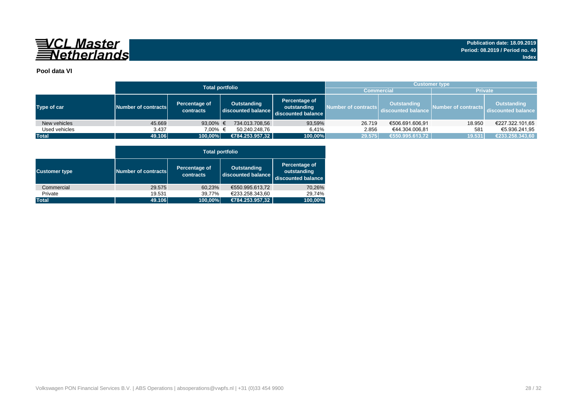

## **Pool data VI**

|               |                     | <b>Total portfolio</b>     |                                   | <b>Customer type</b>                               |                     |                                          |                     |                                   |  |  |  |  |
|---------------|---------------------|----------------------------|-----------------------------------|----------------------------------------------------|---------------------|------------------------------------------|---------------------|-----------------------------------|--|--|--|--|
|               |                     |                            |                                   |                                                    | <b>Commercial</b>   |                                          | <b>Private</b>      |                                   |  |  |  |  |
| Type of car   | Number of contracts | Percentage of<br>contracts | Outstanding<br>discounted balance | Percentage of<br>outstanding<br>discounted balance | Number of contracts | <b>Outstanding</b><br>discounted balance | Number of contracts | Outstanding<br>discounted balance |  |  |  |  |
| New vehicles  | 45.669              | 93,00% $\in$               | 734.013.708,56                    | 93,59%                                             | 26.719              | €506.691.606,91                          | 18.950              | €227.322.101,65                   |  |  |  |  |
| Used vehicles | 3.437               | 7.00% €                    | 50.240.248.76                     | 6.41%                                              | 2.856               | €44.304.006.81                           | 581                 | €5.936.241.95                     |  |  |  |  |
| <b>Total</b>  | 49.106              | 100,00%                    | €784.253.957,32                   | 100,00%                                            | 29.575              | €550.995.613,72                          | 19.531              | €233.258.343,60                   |  |  |  |  |

|                      |                     | <b>Total portfolio</b>     |                                          |                                                    |  |  |  |  |  |  |  |  |  |
|----------------------|---------------------|----------------------------|------------------------------------------|----------------------------------------------------|--|--|--|--|--|--|--|--|--|
| <b>Customer type</b> | Number of contracts | Percentage of<br>contracts | <b>Outstanding</b><br>discounted balance | Percentage of<br>outstanding<br>discounted balance |  |  |  |  |  |  |  |  |  |
| Commercial           | 29.575              | 60,23%                     | €550.995.613.72                          | 70,26%                                             |  |  |  |  |  |  |  |  |  |
| Private              | 19.531              | 39,77%                     | €233.258.343.60                          | 29.74%                                             |  |  |  |  |  |  |  |  |  |
| <b>Total</b>         | 49.106              | 100,00%                    | €784.253.957,32                          | 100,00%                                            |  |  |  |  |  |  |  |  |  |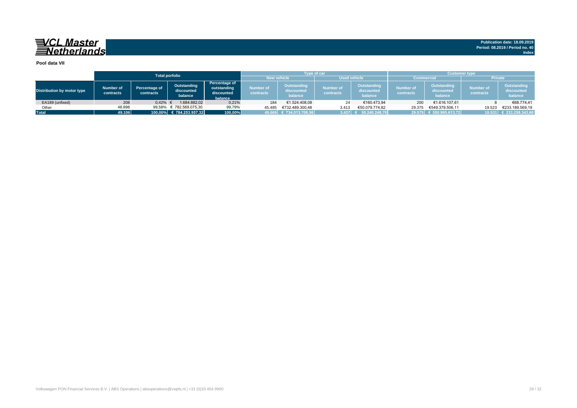#### **Pool data VII**

|                                   |                        |                                   | <b>Total porfolio</b>                |                                                       |                        | <b>Type of car</b>                   |                               |                                      | <b>Customer type</b>   |                                      |                               |                                      |  |
|-----------------------------------|------------------------|-----------------------------------|--------------------------------------|-------------------------------------------------------|------------------------|--------------------------------------|-------------------------------|--------------------------------------|------------------------|--------------------------------------|-------------------------------|--------------------------------------|--|
|                                   |                        |                                   |                                      |                                                       |                        | <b>New vehicle</b>                   | <b>Used vehicle</b>           |                                      | <b>Commercial</b>      |                                      | <b>Private</b>                |                                      |  |
| <b>Distribution by motor type</b> | Number of<br>contracts | <b>Percentage of</b><br>contracts | Outstanding<br>discounted<br>balance | Percentage of<br>outstanding<br>discounted<br>balance | Number of<br>contracts | Outstanding<br>discounted<br>balance | <b>Number of</b><br>contracts | Outstanding<br>discounted<br>balance | Number of<br>contracts | Outstanding<br>discounted<br>balance | <b>Number of</b><br>contracts | Outstanding<br>discounted<br>balance |  |
| EA189 (unfixed)                   | 208                    | 0.42%                             | 1.684.882.02                         | 0,21%                                                 | 184                    | €1.524.408.08                        | 24                            | €160.473.94                          | 200                    | €1.616.107,61                        |                               | €68.774,41                           |  |
| Other                             | 48.898                 | 99,58%                            | € 782.569.075.30                     | 99,79%                                                | 45.485                 | €732.489.300.48                      | 3.413                         | €50.079.774.82                       | 29.375                 | €549.379.506.11                      | 19.523                        | €233.189.569.19                      |  |
| <b>Total</b>                      | 49.106                 |                                   | 100,00% € 784.253.957,32             | 100,00%                                               |                        | (45.669 € 734.013.708,56 €           | 3.437                         | 50.240.248,76                        |                        | 29.575 € 550.995.613,72              |                               | 19.531 € 233.258.343,60              |  |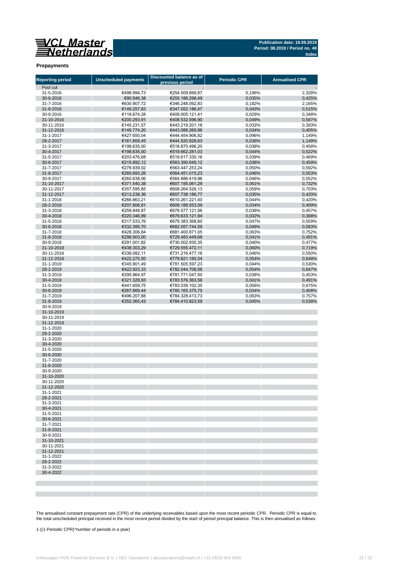

#### **Prepayments**

| <b>Reporting period</b>  | <b>Unscheduled payments</b> | Discounted balance as of           | <b>Periodic CPR</b> | <b>Annualised CPR</b> |
|--------------------------|-----------------------------|------------------------------------|---------------------|-----------------------|
| Pool cut                 |                             | previous period                    |                     |                       |
| 31-5-2016                | €498.994,73                 | €254.509.899,87                    | 0,196%              | 2,328%                |
| 30-6-2016                | €90.546,38                  | €255.186.298,49                    | 0,035%              | 0,425%                |
| 31-7-2016                | €630.907,72                 | €346.248.092,83                    | 0,182%              | 2,165%                |
| 31-8-2016                | €149.257,83                 | €347.052.186,47                    | 0,043%              | 0,515%                |
| 30-9-2016<br>31-10-2016  | €118.674,28<br>€200.293,91  | €409.005.121,41<br>€408.532.596.90 | 0,029%<br>0,049%    | 0,348%<br>0,587%      |
| 30-11-2016               | €145.231,57                 | €443.219.201,18                    | 0,033%              | 0,393%                |
| 31-12-2016               | €149.774,20                 | €443.088.269,96                    | 0,034%              | 0,405%                |
| 31-1-2017                | €427.650,04                 | €444.454.906,82                    | 0,096%              | 1,149%                |
| 28-2-2017                | €161.859,45                 | €444.520.828,63                    | 0,036%              | 1,149%                |
| 31-3-2017                | €198.635,00                 | €518.870.496,20                    | 0,038%              | 0,458%                |
| 30-4-2017<br>31-5-2017   | €198.635,00<br>€203.476.68  | €519.662.281,03<br>€519.617.330,16 | 0,044%<br>0,039%    | 0,522%<br>0,469%      |
| 30-6-2017                | €215.892,12                 | €563.390.649,12                    | 0,038%              | 0,459%                |
| 31-7-2017                | €278.939,02                 | €563.447.253,24                    | 0,050%              | 0,592%                |
| 31-8-2017                | €260.693,26                 | €564.451.015.23                    | 0,046%              | 0,553%                |
| 30-9-2017                | €260.638,06                 | €564.886.419,96                    | 0,046%              | 0,552%                |
| 31-10-2017               | €371.540,38                 | €607.195.061,29                    | 0,061%              | 0,732%                |
| 30-11-2017<br>31-12-2017 | €357.595,85<br>€213.238,36  | €608.264.526,13<br>€607.738.186,77 | 0,059%<br>0,035%    | 0,703%<br>0,420%      |
| 31-1-2018                | €266.863,21                 | €610.261.221,40                    | 0,044%              | 0,420%                |
| 28-2-2018                | €207.806,81                 | €609.188.553,59                    | 0,034%              | 0,409%                |
| 31-3-2018                | €258.848,87                 | €678.577.121,56                    | 0,038%              | 0,457%                |
| 30-4-2018                | €220.346,99                 | €679.633.121,94                    | 0,032%              | 0,388%                |
| 31-5-2018                | €317.533,76                 | €679.383.368,60                    | 0,047%              | 0,559%                |
| 30-6-2018<br>31-7-2018   | €332.395,70<br>€428.306,84  | €682.057.744,59<br>€681.400.871,05 | 0,049%              | 0,583%<br>0,752%      |
| 31-8-2018                | €298.903,00                 | €729.483.449,68                    | 0,063%<br>0,041%    | 0,491%                |
| 30-9-2018                | €291.001,82                 | €730.002.930,35                    | 0,040%              | 0,477%                |
| 31-10-2018               | €438.303,29                 | €729.555.472,11                    | 0,060%              | 0,719%                |
| 30-11-2018               | €336.082,11                 | €731.216.477,16                    | 0,046%              | 0,550%                |
| 31-12-2018               | €422.275,50                 | €779.821.185,54                    | 0,054%              | 0.648%                |
| 31-1-2019                | €345.901,49                 | €781.505.597,23                    | 0,044%              | 0,530%                |
| 28-2-2019<br>31-3-2019   | €422.923,33<br>€295.964,97  | €782.044.708,56<br>€781.771.047,50 | 0,054%<br>0,038%    | 0,647%<br>0,453%      |
| 30-4-2019                | €321.329,93                 | €783.576.363,56                    | 0,041%              | 0,491%                |
| 31-5-2019                | €441.659,75                 | €783.039.102,35                    | 0,056%              | 0,675%                |
| 30-6-2019                | €267.669,44                 | €785.165.375,75                    | 0,034%              | 0,408%                |
| 31-7-2019                | €496.207,88                 | €784.328.413,73                    | 0,063%              | 0,757%                |
| 31-8-2019                | €352.365,43                 | €784.410.823,59                    | 0,045%              | 0,538%                |
| 30-9-2019<br>31-10-2019  |                             |                                    |                     |                       |
| 30-11-2019               |                             |                                    |                     |                       |
| 31-12-2019               |                             |                                    |                     |                       |
| 31-1-2020                |                             |                                    |                     |                       |
| 29-2-2020                |                             |                                    |                     |                       |
| 31-3-2020                |                             |                                    |                     |                       |
| 30-4-2020<br>31-5-2020   |                             |                                    |                     |                       |
| 30-6-2020                |                             |                                    |                     |                       |
| 31-7-2020                |                             |                                    |                     |                       |
| 31-8-2020                |                             |                                    |                     |                       |
| 30-9-2020                |                             |                                    |                     |                       |
| 31-10-2020               |                             |                                    |                     |                       |
| 30-11-2020<br>31-12-2020 |                             |                                    |                     |                       |
| 31-1-2021                |                             |                                    |                     |                       |
| 28-2-2021                |                             |                                    |                     |                       |
| 31-3-2021                |                             |                                    |                     |                       |
| 30-4-2021                |                             |                                    |                     |                       |
| 31-5-2021                |                             |                                    |                     |                       |
| 30-6-2021                |                             |                                    |                     |                       |
| 31-7-2021<br>31-8-2021   |                             |                                    |                     |                       |
| 30-9-2021                |                             |                                    |                     |                       |
| 31-10-2021               |                             |                                    |                     |                       |
| 30-11-2021               |                             |                                    |                     |                       |
| 31-12-2021               |                             |                                    |                     |                       |
| 31-1-2022                |                             |                                    |                     |                       |
| 28-2-2022<br>31-3-2022   |                             |                                    |                     |                       |
| 30-4-2022                |                             |                                    |                     |                       |
|                          |                             |                                    |                     |                       |
|                          |                             |                                    |                     |                       |
|                          |                             |                                    |                     |                       |

The annualised constant prepayment rate (CPR) of the underlying receivables based upon the most recent periodic CPR. Periodic CPR is equal to<br>the total unscheduled principal received in the most recent period divided by th

1-((1-Periodic CPR)^number of periods in a year)